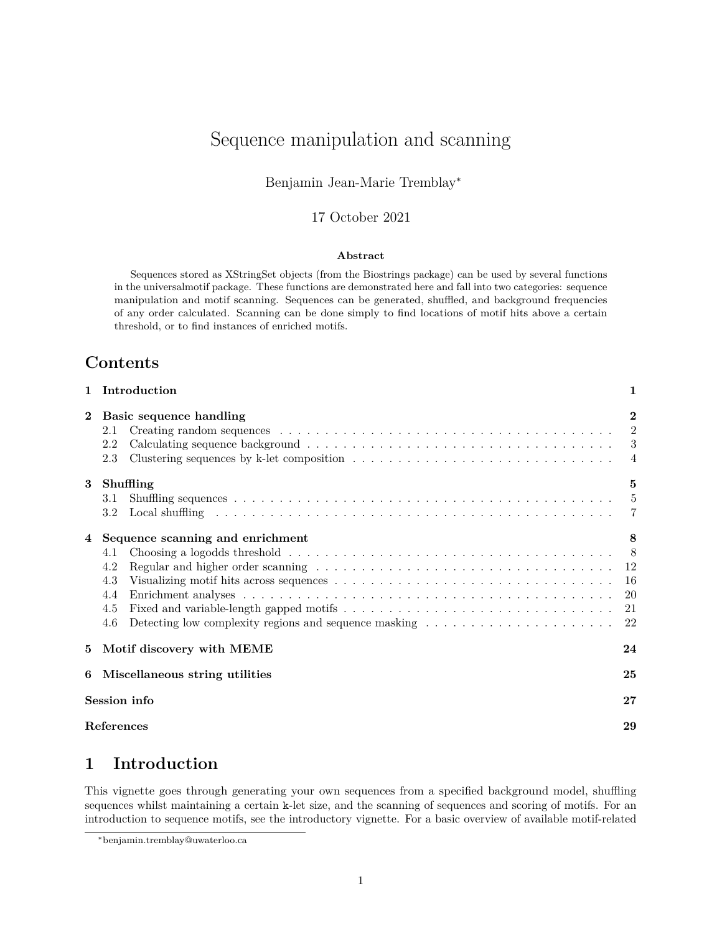# <span id="page-0-1"></span>Sequence manipulation and scanning

### Benjamin Jean-Marie Tremblay<sup>∗</sup>

### 17 October 2021

#### **Abstract**

Sequences stored as XStringSet objects (from the Biostrings package) can be used by several functions in the universalmotif package. These functions are demonstrated here and fall into two categories: sequence manipulation and motif scanning. Sequences can be generated, shuffled, and background frequencies of any order calculated. Scanning can be done simply to find locations of motif hits above a certain threshold, or to find instances of enriched motifs.

### **Contents**

|              | 1 Introduction                                                                                                                                                                                   | $\mathbf{1}$              |
|--------------|--------------------------------------------------------------------------------------------------------------------------------------------------------------------------------------------------|---------------------------|
| $\mathbf{2}$ | Basic sequence handling<br>2.1<br>2.2<br>Clustering sequences by k-let composition $\ldots \ldots \ldots \ldots \ldots \ldots \ldots \ldots \ldots \ldots$<br>2.3                                | $\bf{2}$<br>2             |
| 3            | Shuffling<br>3.1<br>3.2                                                                                                                                                                          | $\mathbf{5}$<br>$-5$<br>7 |
| 4            | Sequence scanning and enrichment<br>Choosing a logodds threshold $\ldots \ldots \ldots \ldots \ldots \ldots \ldots \ldots \ldots \ldots \ldots \ldots$<br>4.1<br>4.2<br>4.3<br>4.4<br>4.5<br>4.6 | 8<br>-20<br>21<br>22      |
| 5.           | Motif discovery with MEME                                                                                                                                                                        | 24                        |
| 6            | Miscellaneous string utilities                                                                                                                                                                   | 25                        |
|              | Session info                                                                                                                                                                                     | 27                        |
|              | References                                                                                                                                                                                       | 29                        |

# <span id="page-0-0"></span>**1 Introduction**

This vignette goes through generating your own sequences from a specified background model, shuffling sequences whilst maintaining a certain k-let size, and the scanning of sequences and scoring of motifs. For an introduction to sequence motifs, see the introductory vignette. For a basic overview of available motif-related

<sup>∗</sup>[benjamin.tremblay@uwaterloo.ca](mailto:benjamin.tremblay@uwaterloo.ca)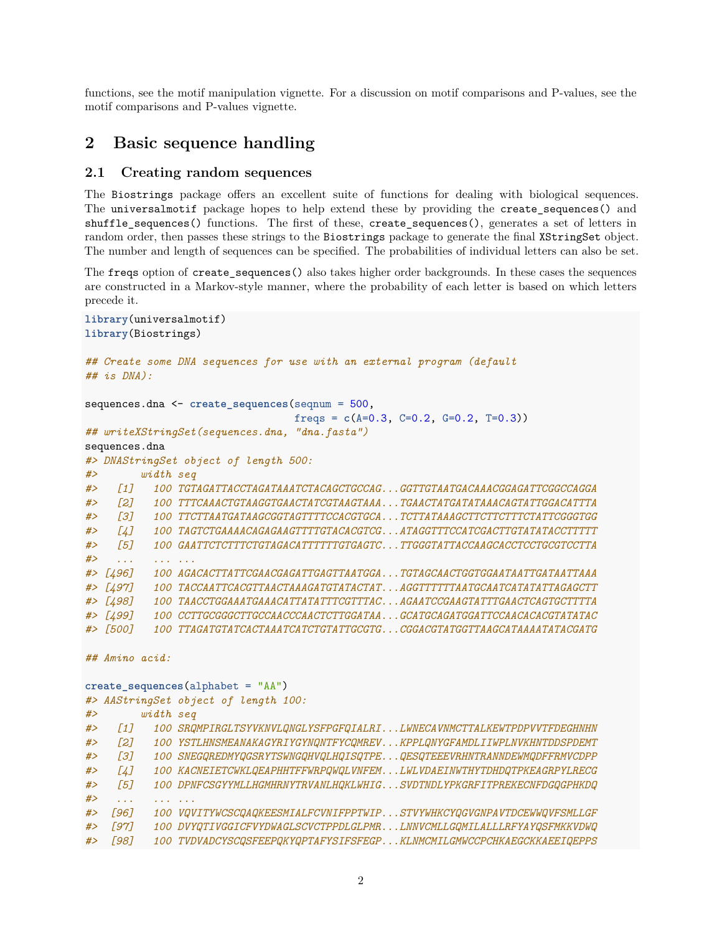functions, see the [motif manipulation](#page-0-1) vignette. For a discussion on motif comparisons and P-values, see the [motif comparisons and P-values](#page-0-1) vignette.

# <span id="page-1-0"></span>**2 Basic sequence handling**

### <span id="page-1-1"></span>**2.1 Creating random sequences**

The Biostrings package offers an excellent suite of functions for dealing with biological sequences. The universalmotif package hopes to help extend these by providing the create\_sequences() and shuffle\_sequences() functions. The first of these, create\_sequences(), generates a set of letters in random order, then passes these strings to the Biostrings package to generate the final XStringSet object. The number and length of sequences can be specified. The probabilities of individual letters can also be set.

The freqs option of create\_sequences() also takes higher order backgrounds. In these cases the sequences are constructed in a Markov-style manner, where the probability of each letter is based on which letters precede it.

```
library(universalmotif)
library(Biostrings)
## Create some DNA sequences for use with an external program (default
## is DNA):
sequences.dna <- create_sequences(seqnum = 500,
                                freqs = c(A=0.3, C=0.2, G=0.2, T=0.3)## writeXStringSet(sequences.dna, "dna.fasta")
sequences.dna
#> DNAStringSet object of length 500:
#> width seq
#> [1] 100 TGTAGATTACCTAGATAAATCTACAGCTGCCAG...GGTTGTAATGACAAACGGAGATTCGGCCAGGA
#> [2] 100 TTTCAAACTGTAAGGTGAACTATCGTAAGTAAA...TGAACTATGATATAAACAGTATTGGACATTTA
#> [3] 100 TTCTTAATGATAAGCGGTAGTTTTCCACGTGCA...TCTTATAAAGCTTCTTCTTTCTATTCGGGTGG
#> [4] 100 TAGTCTGAAAACAGAGAAGTTTTGTACACGTCG...ATAGGTTTCCATCGACTTGTATATACCTTTTT
#> [5] 100 GAATTCTCTTTCTGTAGACATTTTTTGTGAGTC...TTGGGTATTACCAAGCACCTCCTGCGTCCTTA
#> ... ... ...
#> [496] 100 AGACACTTATTCGAACGAGATTGAGTTAATGGA...TGTAGCAACTGGTGGAATAATTGATAATTAAA
#> [497] 100 TACCAATTCACGTTAACTAAAGATGTATACTAT...AGGTTTTTTAATGCAATCATATATTAGAGCTT
#> [498] 100 TAACCTGGAAATGAAACATTATATTTCGTTTAC...AGAATCCGAAGTATTTGAACTCAGTGCTTTTA
#> [499] 100 CCTTGCGGGCTTGCCAACCCAACTCTTGGATAA...GCATGCAGATGGATTCCAACACACGTATATAC
#> [500] 100 TTAGATGTATCACTAAATCATCTGTATTGCGTG...CGGACGTATGGTTAAGCATAAAATATACGATG
## Amino acid:
create_sequences(alphabet = "AA")
#> AAStringSet object of length 100:
#> width seq
#> [1] 100 SRQMPIRGLTSYVKNVLQNGLYSFPGFQIALRI...LWNECAVNMCTTALKEWTPDPVVTFDEGHNHN
#> [2] 100 YSTLHNSMEANAKAGYRIYGYNQNTFYCQMREV...KPPLQNYGFAMDLIIWPLNVKHNTDDSPDEMT
#> [3] 100 SNEGQREDMYQGSRYTSWNGQHVQLHQISQTPE...QESQTEEEVRHNTRANNDEWMQDFFRMVCDPP
#> [4] 100 KACNEIETCWKLQEAPHHTFFWRPQWQLVNFEM...LWLVDAEINWTHYTDHDQTPKEAGRPYLRECG
#> [5] 100 DPNFCSGYYMLLHGMHRNYTRVANLHQKLWHIG...SVDTNDLYPKGRFITPREKECNFDGQGPHKDQ
#> ... ... ...
#> [96] 100 VQVITYWCSCQAQKEESMIALFCVNIFPPTWIP...STVYWHKCYQGVGNPAVTDCEWWQVFSMLLGF
#> [97] 100 DVYQTIVGGICFVYDWAGLSCVCTPPDLGLPMR...LNNVCMLLGQMILALLLRFYAYQSFMKKVDWQ
#> [98] 100 TVDVADCYSCQSFEEPQKYQPTAFYSIFSFEGP...KLNMCMILGMWCCPCHKAEGCKKAEEIQEPPS
```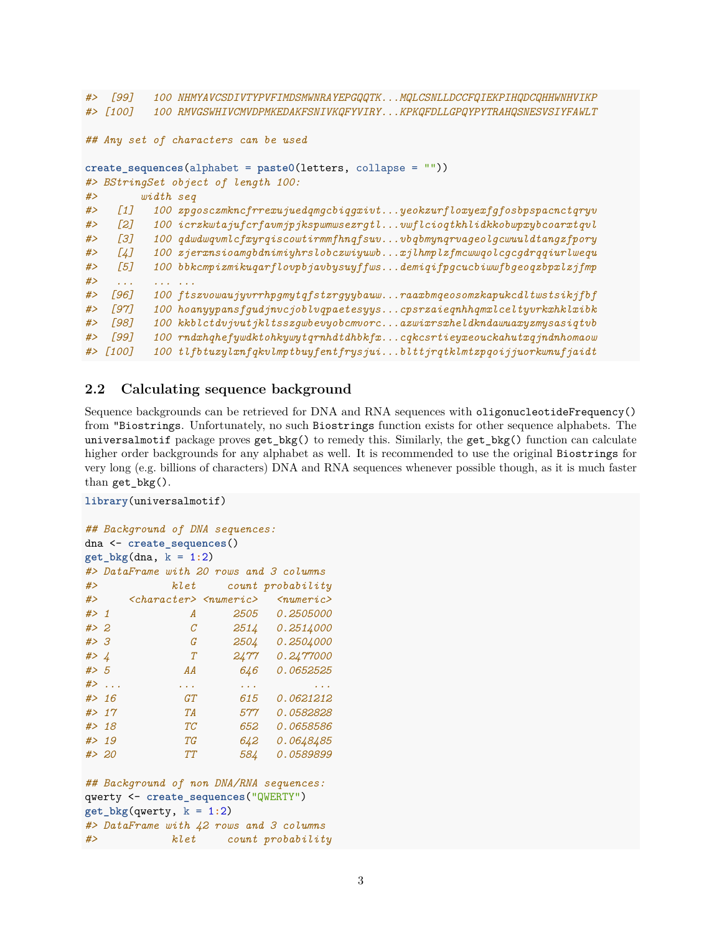```
#> [99] 100 NHMYAVCSDIVTYPVFIMDSMWNRAYEPGQQTK...MQLCSNLLDCCFQIEKPIHQDCQHHWNHVIKP
#> [100] 100 RMVGSWHIVCMVDPMKEDAKFSNIVKQFYVIRY...KPKQFDLLGPQYPYTRAHQSNESVSIYFAWLT
## Any set of characters can be used
create_sequences(alphabet = paste0(letters, collapse = ""))
#> BStringSet object of length 100:
#> width seq
#> [1] 100 zpgosczmkncfrrexujuedqmgcbiqgxivt...yeokzurfloxyexfgfosbpspacnctqryv
#> [2] 100 icrzkwtajufcrfavmjpjkspwmwsezrgtl...vwflcioqtkhlidkkobwpxybcoarxtqvl
#> [3] 100 qdwdwqvmlcfxyrqiscowtirmmfhnqfsuv...vbqbmynqrvageolgcwuuldtangzfpory
#> [4] 100 zjerxnsioamgbdnimiyhrslobczwiyuwb...xjlhmplzfmcwwqolcgcgdrqqiurlwequ
#> [5] 100 bbkcmpizmikuqarflovpbjavbysuyffws...demiqifpgcucbiwwfbgeoqzbpxlzjfmp
#> ... ... ...
#> [96] 100 ftszvowaujyvrrhpgmytqfstzrgyybauw...raaxbmqeosomzkapukcdltwstsikjfbf
#> [97] 100 hoanyypansfgudjnvcjoblvqpaetesyys...cpsrzaieqnhhqmxlceltyvrkxhklxibk
#> [98] 100 kkblctdvjvutjkltsszgwbevyobcmvorc...azwixrsxheldkndawuaxyzmysasiqtvb
#> [99] 100 rndxhqhefywdktohkywytqrnhdtdhbkfx...cqkcsrtieyxeouckahutxqjndnhomaow
#> [100] 100 tlfbtuzylxnfqkvlmptbuyfentfrysjui...blttjrqtklmtzpqoijjuorkwnufjaidt
```
### <span id="page-2-0"></span>**2.2 Calculating sequence background**

Sequence backgrounds can be retrieved for DNA and RNA sequences with oligonucleotideFrequency() from "Biostrings. Unfortunately, no such Biostrings function exists for other sequence alphabets. The universalmotif package proves get\_bkg() to remedy this. Similarly, the get\_bkg() function can calculate higher order backgrounds for any alphabet as well. It is recommended to use the original Biostrings for very long (e.g. billions of characters) DNA and RNA sequences whenever possible though, as it is much faster than get  $bkg()$ .

```
library(universalmotif)
```

```
## Background of DNA sequences:
dna <- create_sequences()
get bkg(dna, k = 1:2)
#> DataFrame with 20 rows and 3 columns
#> klet count probability
#> <character> <numeric> <numeric>
#> 1 A 2505 0.2505000
#> 2 C 2514 0.2514000
#> 3 G 2504 0.2504000
#> 4 T 2477 0.2477000
#> 5 AA 646 0.0652525
#> ... ... ... ...
#> 16 GT 615 0.0621212
#> 17 TA 577 0.0582828
#> 18 TC 652 0.0658586
           #> 19 TG 642 0.0648485
#> 20 TT 584 0.0589899
## Background of non DNA/RNA sequences:
qwerty <- create_sequences("QWERTY")
get_bkg(qwerty, k = 1:2)#> DataFrame with 42 rows and 3 columns
#> klet count probability
```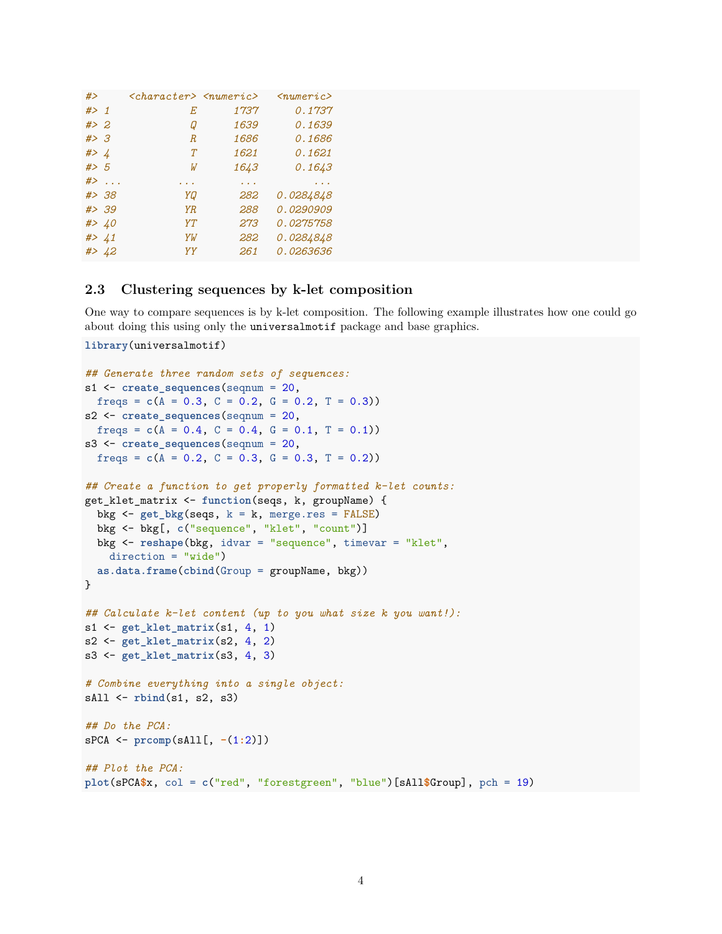| #>     |        | $<$ character> $<$ numeric> |      | $\langle$ numeric $\rangle$ |
|--------|--------|-----------------------------|------|-----------------------------|
| # $>1$ |        | Е                           | 1737 | 0.1737                      |
| # > 2  |        | Q                           | 1639 | 0.1639                      |
| #>3    |        | $\boldsymbol{R}$            | 1686 | 0.1686                      |
| # > 4  |        | T                           | 1621 | 0.1621                      |
| # > 5  |        | W                           | 1643 | 0.1643                      |
|        | $\#$   |                             |      |                             |
|        | # > 38 | YQ                          | 282  | 0.0284848                   |
|        | # > 39 | <b>YR</b>                   | 288  | 0.0290909                   |
|        | #> 40  | YT                          | 273  | 0.0275758                   |
|        | #> 41  | YW                          | 282  | 0.0284848                   |
|        | #> 42  | YY                          | 261  | 0.0263636                   |

#### <span id="page-3-0"></span>**2.3 Clustering sequences by k-let composition**

One way to compare sequences is by k-let composition. The following example illustrates how one could go about doing this using only the universalmotif package and base graphics.

```
library(universalmotif)
```

```
## Generate three random sets of sequences:
s1 <- create_sequences(seqnum = 20,
  freqs = c(A = 0.3, C = 0.2, G = 0.2, T = 0.3)s2 <- create_sequences(seqnum = 20,
  freqs = c(A = 0.4, C = 0.4, G = 0.1, T = 0.1)s3 <- create_sequences(seqnum = 20,
  freqs = c(A = 0.2, C = 0.3, G = 0.3, T = 0.2)## Create a function to get properly formatted k-let counts:
get_klet_matrix <- function(seqs, k, groupName) {
  bkg <- get_bkg(seqs, k = k, merge.res = FALSE)
  bkg <- bkg[, c("sequence", "klet", "count")]
  bkg <- reshape(bkg, idvar = "sequence", timevar = "klet",
   direction = "wide")
  as.data.frame(cbind(Group = groupName, bkg))
}
## Calculate k-let content (up to you what size k you want!):
s1 <- get_klet_matrix(s1, 4, 1)
s2 <- get_klet_matrix(s2, 4, 2)
s3 <- get_klet_matrix(s3, 4, 3)
# Combine everything into a single object:
sAll <- rbind(s1, s2, s3)
## Do the PCA:
sPCA <- prcomp(sAll[, -(1:2)])
## Plot the PCA:
plot(sPCA$x, col = c("red", "forestgreen", "blue")[sAll$Group], pch = 19)
```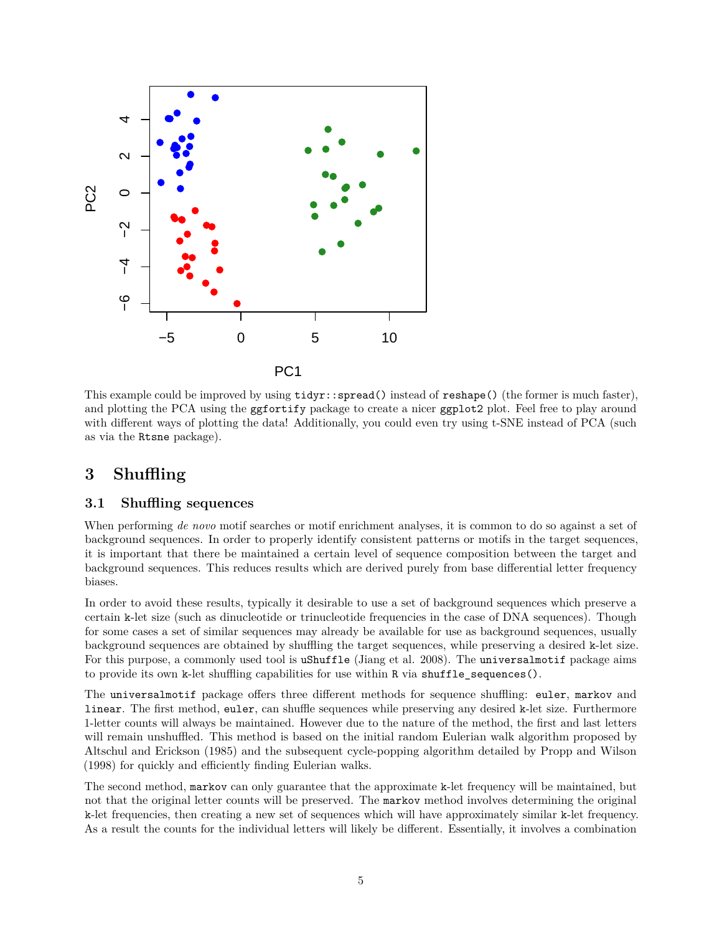

This example could be improved by using  $\text{tidyr}:$  spread() instead of reshape() (the former is much faster), and plotting the PCA using the ggfortify package to create a nicer ggplot2 plot. Feel free to play around with different ways of plotting the data! Additionally, you could even try using t-SNE instead of PCA (such as via the Rtsne package).

# <span id="page-4-0"></span>**3 Shuffling**

### <span id="page-4-1"></span>**3.1 Shuffling sequences**

When performing *de novo* motif searches or motif enrichment analyses, it is common to do so against a set of background sequences. In order to properly identify consistent patterns or motifs in the target sequences, it is important that there be maintained a certain level of sequence composition between the target and background sequences. This reduces results which are derived purely from base differential letter frequency biases.

In order to avoid these results, typically it desirable to use a set of background sequences which preserve a certain k-let size (such as dinucleotide or trinucleotide frequencies in the case of DNA sequences). Though for some cases a set of similar sequences may already be available for use as background sequences, usually background sequences are obtained by shuffling the target sequences, while preserving a desired k-let size. For this purpose, a commonly used tool is uShuffle (Jiang et al. 2008). The universalmotif package aims to provide its own k-let shuffling capabilities for use within R via shuffle\_sequences().

The universalmotif package offers three different methods for sequence shuffling: euler, markov and linear. The first method, euler, can shuffle sequences while preserving any desired k-let size. Furthermore 1-letter counts will always be maintained. However due to the nature of the method, the first and last letters will remain unshuffled. This method is based on the initial random Eulerian walk algorithm proposed by Altschul and Erickson (1985) and the subsequent cycle-popping algorithm detailed by Propp and Wilson (1998) for quickly and efficiently finding Eulerian walks.

The second method, markov can only guarantee that the approximate k-let frequency will be maintained, but not that the original letter counts will be preserved. The markov method involves determining the original k-let frequencies, then creating a new set of sequences which will have approximately similar k-let frequency. As a result the counts for the individual letters will likely be different. Essentially, it involves a combination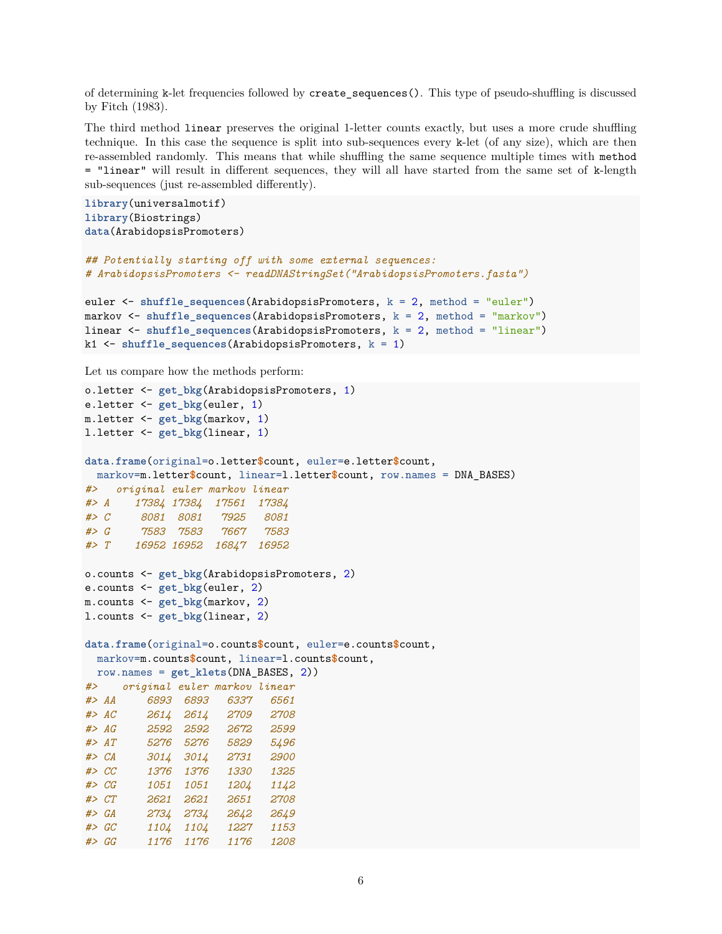of determining k-let frequencies followed by create\_sequences(). This type of pseudo-shuffling is discussed by Fitch (1983).

The third method linear preserves the original 1-letter counts exactly, but uses a more crude shuffling technique. In this case the sequence is split into sub-sequences every k-let (of any size), which are then re-assembled randomly. This means that while shuffling the same sequence multiple times with method = "linear" will result in different sequences, they will all have started from the same set of k-length sub-sequences (just re-assembled differently).

```
library(universalmotif)
library(Biostrings)
data(ArabidopsisPromoters)
```

```
## Potentially starting off with some external sequences:
# ArabidopsisPromoters <- readDNAStringSet("ArabidopsisPromoters.fasta")
```

```
euler <- shuffle_sequences(ArabidopsisPromoters, k = 2, method = "euler")
markov <- shuffle_sequences(ArabidopsisPromoters, k = 2, method = "markov")
linear <- shuffle_sequences(ArabidopsisPromoters, k = 2, method = "linear")
k1 <- shuffle_sequences(ArabidopsisPromoters, k = 1)
```
Let us compare how the methods perform:

```
o.letter <- get_bkg(ArabidopsisPromoters, 1)
e.letter <- get_bkg(euler, 1)
m.letter <- get_bkg(markov, 1)
l.letter <- get_bkg(linear, 1)
data.frame(original=o.letter$count, euler=e.letter$count,
 markov=m.letter$count, linear=l.letter$count, row.names = DNA_BASES)
#> original euler markov linear
#> A 17384 17384 17561 17384
#> C 8081 8081 7925 8081
#> G 7583 7583 7667 7583
#> T 16952 16952 16847 16952
o.counts <- get_bkg(ArabidopsisPromoters, 2)
e.counts <- get_bkg(euler, 2)
m.counts <- get_bkg(markov, 2)
l.counts <- get_bkg(linear, 2)
data.frame(original=o.counts$count, euler=e.counts$count,
 markov=m.counts$count, linear=l.counts$count,
 row.names = get_klets(DNA_BASES, 2))
#> original euler markov linear
#> AA 6893 6893 6337 6561
#> AC 2614 2614 2709 2708
#> AG 2592 2592 2672 2599
#> AT 5276 5276 5829 5496
#> CA 3014 3014 2731 2900
#> CC 1376 1376 1330 1325
#> CG 1051 1051 1204 1142
#> CT 2621 2621 2651 2708
#> GA 2734 2734 2642 2649
#> GC 1104 1104 1227 1153
#> GG 1176 1176 1176 1208
```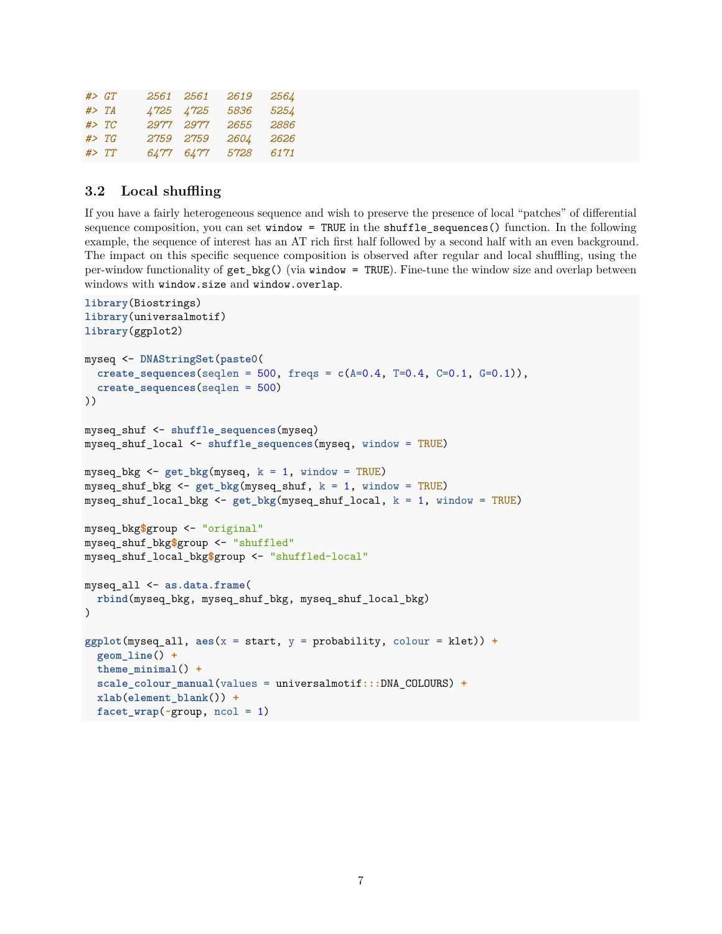|        | #> GT  | 2561 2561 | 2619 | 2564 |
|--------|--------|-----------|------|------|
| # > TA |        | 4725 4725 | 5836 | 5254 |
|        | # > TC | 2977 2977 | 2655 | 2886 |
|        | # > TG | 2759 2759 | 2604 | 2626 |
|        | # > TT | 6477 6477 | 5728 | 6171 |

### <span id="page-6-0"></span>**3.2 Local shuffling**

If you have a fairly heterogeneous sequence and wish to preserve the presence of local "patches" of differential sequence composition, you can set window = TRUE in the shuffle\_sequences() function. In the following example, the sequence of interest has an AT rich first half followed by a second half with an even background. The impact on this specific sequence composition is observed after regular and local shuffling, using the per-window functionality of get\_bkg() (via window = TRUE). Fine-tune the window size and overlap between windows with window.size and window.overlap.

```
library(Biostrings)
library(universalmotif)
library(ggplot2)
myseq <- DNAStringSet(paste0(
  create_sequences(seqlen = 500, freqs = c(A=0.4, T=0.4, C=0.1, G=0.1)),
  create_sequences(seqlen = 500)
))
myseq_shuf <- shuffle_sequences(myseq)
myseq_shuf_local <- shuffle_sequences(myseq, window = TRUE)
myseq_bkg <- get_bkg(myseq, k = 1, window = TRUE)
myseq_shuf_bkg <- get_bkg(myseq_shuf, k = 1, window = TRUE)
myseq_shuf_local_bkg <- get_bkg(myseq_shuf_local, k = 1, window = TRUE)
myseq_bkg$group <- "original"
myseq_shuf_bkg$group <- "shuffled"
myseq_shuf_local_bkg$group <- "shuffled-local"
myseq_all <- as.data.frame(
 rbind(myseq_bkg, myseq_shuf_bkg, myseq_shuf_local_bkg)
)
ggplot(myseq_all, aes(x = start, y = probability, colour = klet)) +geom_line() +
  theme_minimal() +
  scale_colour_manual(values = universalmotif:::DNA_COLOURS) +
  xlab(element_blank()) +
  facet_wrap(~group, ncol = 1)
```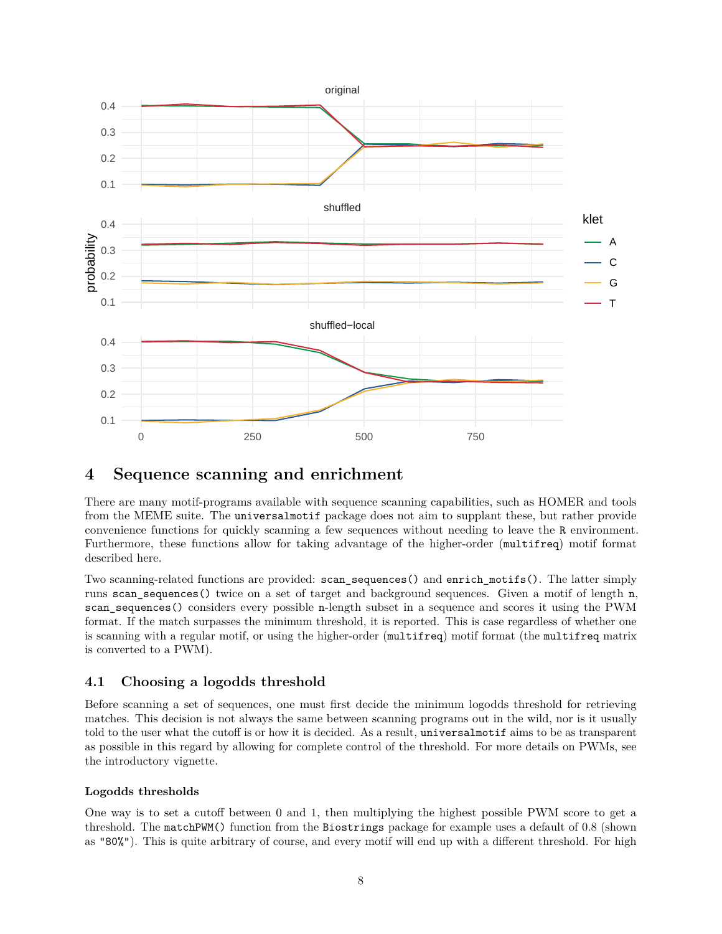

# <span id="page-7-0"></span>**4 Sequence scanning and enrichment**

There are many motif-programs available with sequence scanning capabilities, such as [HOMER](http://homer.ucsd.edu/homer/index.html) and tools from the [MEME suite.](http://meme-suite.org/) The universalmotif package does not aim to supplant these, but rather provide convenience functions for quickly scanning a few sequences without needing to leave the R environment. Furthermore, these functions allow for taking advantage of the higher-order (multifreq) motif format described here.

Two scanning-related functions are provided: scan\_sequences() and enrich\_motifs(). The latter simply runs scan sequences() twice on a set of target and background sequences. Given a motif of length n, scan\_sequences() considers every possible n-length subset in a sequence and scores it using the PWM format. If the match surpasses the minimum threshold, it is reported. This is case regardless of whether one is scanning with a regular motif, or using the higher-order (multifreq) motif format (the multifreq matrix is converted to a PWM).

### <span id="page-7-1"></span>**4.1 Choosing a logodds threshold**

Before scanning a set of sequences, one must first decide the minimum logodds threshold for retrieving matches. This decision is not always the same between scanning programs out in the wild, nor is it usually told to the user what the cutoff is or how it is decided. As a result, universalmotif aims to be as transparent as possible in this regard by allowing for complete control of the threshold. For more details on PWMs, see the [introductory](#page-0-1) vignette.

### **Logodds thresholds**

One way is to set a cutoff between 0 and 1, then multiplying the highest possible PWM score to get a threshold. The matchPWM() function from the Biostrings package for example uses a default of 0.8 (shown as "80%"). This is quite arbitrary of course, and every motif will end up with a different threshold. For high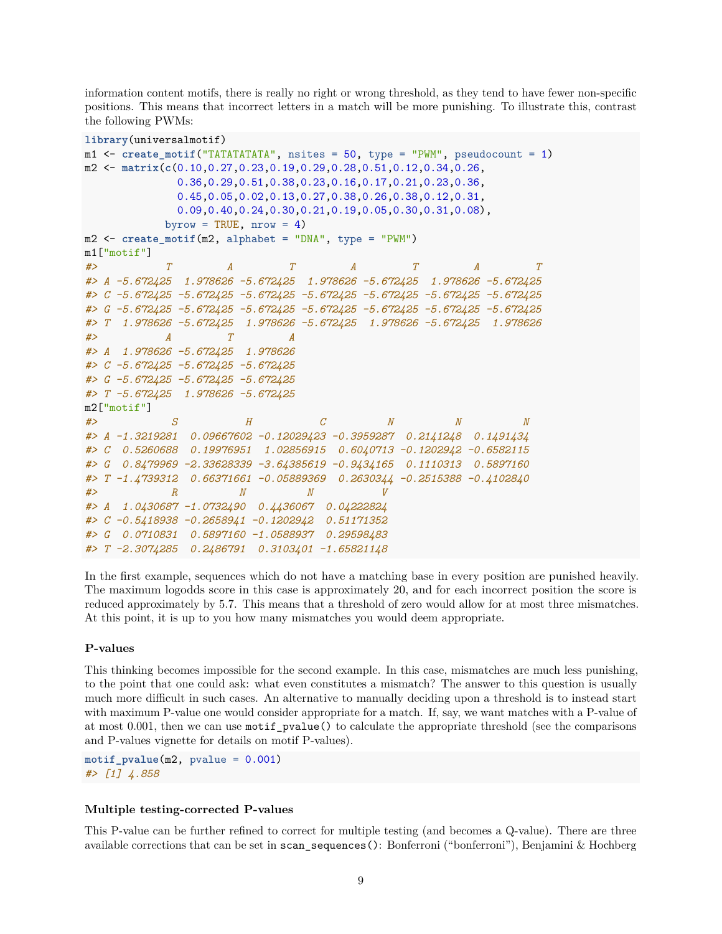information content motifs, there is really no right or wrong threshold, as they tend to have fewer non-specific positions. This means that incorrect letters in a match will be more punishing. To illustrate this, contrast the following PWMs:

```
library(universalmotif)
m1 <- create_motif("TATATATATA", nsites = 50, type = "PWM", pseudocount = 1)
m2 <- matrix(c(0.10,0.27,0.23,0.19,0.29,0.28,0.51,0.12,0.34,0.26,
             0.36,0.29,0.51,0.38,0.23,0.16,0.17,0.21,0.23,0.36,
             0.45,0.05,0.02,0.13,0.27,0.38,0.26,0.38,0.12,0.31,
             0.09,0.40,0.24,0.30,0.21,0.19,0.05,0.30,0.31,0.08),
           byrow = TRUE, nrow = 4)
m2 <- create_motif(m2, alphabet = "DNA", type = "PWM")
m1["motif"]
#> T A T A T A T
#> A -5.672425 1.978626 -5.672425 1.978626 -5.672425 1.978626 -5.672425
#> C -5.672425 -5.672425 -5.672425 -5.672425 -5.672425 -5.672425 -5.672425
#> G -5.672425 -5.672425 -5.672425 -5.672425 -5.672425 -5.672425 -5.672425
#> T 1.978626 -5.672425 1.978626 -5.672425 1.978626 -5.672425 1.978626
#> A T A
#> A 1.978626 -5.672425 1.978626
#> C -5.672425 -5.672425 -5.672425
#> G -5.672425 -5.672425 -5.672425
#> T -5.672425 1.978626 -5.672425
m2["motif"]
#> S H C N N N
#> A -1.3219281 0.09667602 -0.12029423 -0.3959287 0.2141248 0.1491434
#> C 0.5260688 0.19976951 1.02856915 0.6040713 -0.1202942 -0.6582115
#> G 0.8479969 -2.33628339 -3.64385619 -0.9434165 0.1110313 0.5897160
#> T -1.4739312 0.66371661 -0.05889369 0.2630344 -0.2515388 -0.4102840
#> R N N V
#> A 1.0430687 -1.0732490 0.4436067 0.04222824
#> C -0.5418938 -0.2658941 -0.1202942 0.51171352
#> G 0.0710831 0.5897160 -1.0588937 0.29598483
#> T -2.3074285 0.2486791 0.3103401 -1.65821148
```
In the first example, sequences which do not have a matching base in every position are punished heavily. The maximum logodds score in this case is approximately 20, and for each incorrect position the score is reduced approximately by 5.7. This means that a threshold of zero would allow for at most three mismatches. At this point, it is up to you how many mismatches you would deem appropriate.

#### **P-values**

This thinking becomes impossible for the second example. In this case, mismatches are much less punishing, to the point that one could ask: what even constitutes a mismatch? The answer to this question is usually much more difficult in such cases. An alternative to manually deciding upon a threshold is to instead start with maximum P-value one would consider appropriate for a match. If, say, we want matches with a P-value of at most 0.001, then we can use motif\_pvalue() to calculate the appropriate threshold (see the [comparisons](#page-0-1) [and P-values](#page-0-1) vignette for details on motif P-values).

**motif\_pvalue**(m2, pvalue = 0.001) *#> [1] 4.858*

#### **Multiple testing-corrected P-values**

This P-value can be further refined to correct for multiple testing (and becomes a Q-value). There are three available corrections that can be set in scan\_sequences(): Bonferroni ("bonferroni"), Benjamini & Hochberg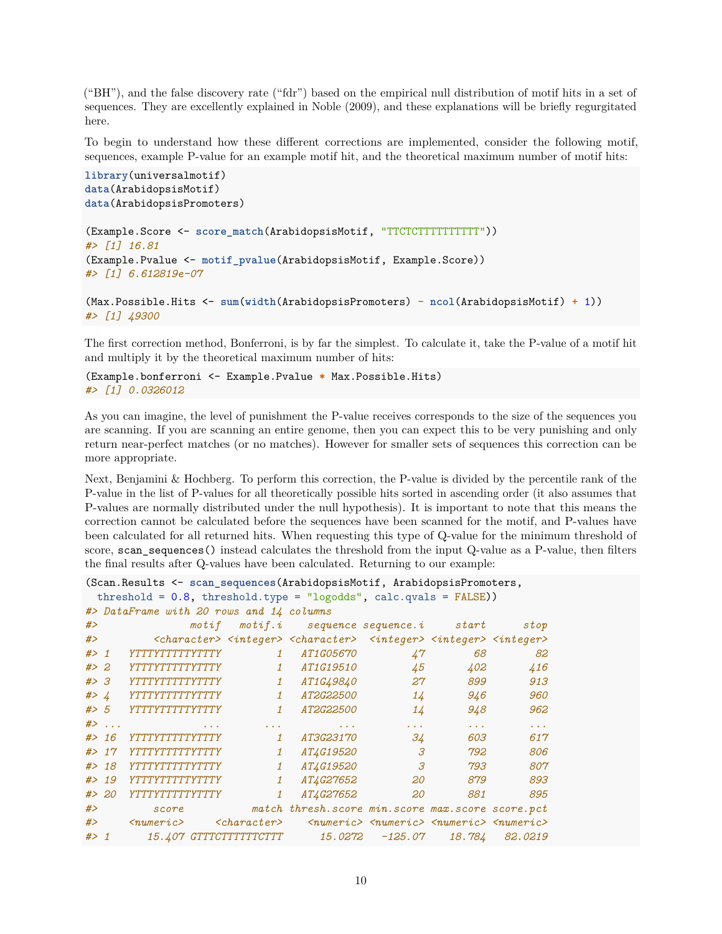("BH"), and the false discovery rate ("fdr") based on the empirical null distribution of motif hits in a set of sequences. They are excellently explained in Noble (2009), and these explanations will be briefly regurgitated here.

To begin to understand how these different corrections are implemented, consider the following motif, sequences, example P-value for an example motif hit, and the theoretical maximum number of motif hits:

```
library(universalmotif)
data(ArabidopsisMotif)
data(ArabidopsisPromoters)
(Example.Score <- score_match(ArabidopsisMotif, "TTCTCTTTTTTTTTT"))
#> [1] 16.81
(Example.Pvalue <- motif_pvalue(ArabidopsisMotif, Example.Score))
#> [1] 6.612819e-07
(Max.Possible.Hits <- sum(width(ArabidopsisPromoters) - ncol(ArabidopsisMotif) + 1))
#> [1] 49300
```
The first correction method, Bonferroni, is by far the simplest. To calculate it, take the P-value of a motif hit and multiply it by the theoretical maximum number of hits:

```
(Example.bonferroni <- Example.Pvalue * Max.Possible.Hits)
#> [1] 0.0326012
```
As you can imagine, the level of punishment the P-value receives corresponds to the size of the sequences you are scanning. If you are scanning an entire genome, then you can expect this to be very punishing and only return near-perfect matches (or no matches). However for smaller sets of sequences this correction can be more appropriate.

Next, Benjamini & Hochberg. To perform this correction, the P-value is divided by the percentile rank of the P-value in the list of P-values for all theoretically possible hits sorted in ascending order (it also assumes that P-values are normally distributed under the null hypothesis). It is important to note that this means the correction cannot be calculated before the sequences have been scanned for the motif, and P-values have been calculated for all returned hits. When requesting this type of Q-value for the minimum threshold of score, scan\_sequences() instead calculates the threshold from the input Q-value as a P-value, then filters the final results after Q-values have been calculated. Returning to our example:

```
(Scan.Results <- scan_sequences(ArabidopsisMotif, ArabidopsisPromoters,
 threshold = 0.8, threshold.type = "logodds", calc.qvals = FALSE))
#> DataFrame with 20 rows and 14 columns
```

| #>    |        | $\mathit{motif}$              |                      | $motif.i$ sequence sequence.i start                                                                                             |                                                                             |                  | stop          |
|-------|--------|-------------------------------|----------------------|---------------------------------------------------------------------------------------------------------------------------------|-----------------------------------------------------------------------------|------------------|---------------|
| #>    |        |                               |                      | <character> <integer> <character> <integer> <integer> <integer></integer></integer></integer></character></integer></character> |                                                                             |                  |               |
| $#$ 1 |        | YTTTYTTTTYTTTY                | $\mathbf{1}$         | <i>AT1G05670</i>                                                                                                                | 47                                                                          | 68               | 82            |
| # > 2 |        | YTTTYTTTTYTTTY                | $\mathbf{1}$         | AT1G19510                                                                                                                       | 45                                                                          | 402              | 416           |
| #> 3  |        | YTTTYTTTTYTTTY                | 1                    | <i>AT1G49840</i>                                                                                                                | 27                                                                          | 899              | 913           |
| # > 4 |        | YTTTYTTTTYTTTY                | $\mathbf{1}$         | <i>AT2G22500</i>                                                                                                                | 14                                                                          | 946              | 960           |
| # > 5 |        | YTTTYTTTTYTTTY                | $\mathbf{1}$         | AT2G22500                                                                                                                       | 14                                                                          | 948              | 962           |
|       | $#$    |                               | $\sim$ $\sim$ $\sim$ |                                                                                                                                 |                                                                             | $\cdots$         | $\sim$ $\sim$ |
|       | # > 16 | YTTTYTTTTYTTTY                | $\mathbf{1}$         | <i>AT3G23170</i>                                                                                                                | 34                                                                          | 603              | 617           |
|       | # > 17 | YTTTYTTTTYTTTY                | $\mathbf{1}$         | <i>AT4G19520</i>                                                                                                                | 3                                                                           | 792              | 806           |
|       | # > 18 | YTTTYTTTTTYTTTY               | 1                    | AT4G19520                                                                                                                       | 3                                                                           | 793              | 807           |
|       | # > 19 | YTTTYTTTTYTTTY                | $\mathbf{1}$         | <i>AT4G27652</i>                                                                                                                | 20                                                                          | 879              | 893           |
|       | # > 20 | YTTTYTTTTYTTTY                | $\mathbf{1}$         | AT4G27652                                                                                                                       | 20                                                                          | 881              | 895           |
| #>    |        | score                         |                      | match thresh. score min. score max. score score. pct                                                                            |                                                                             |                  |               |
| #>    |        | $\langle$ numeric $\rangle$   | $<$ character $>$    |                                                                                                                                 | $\langle$ numeric> $\langle$ numeric> $\langle$ numeric> $\langle$ numeric> |                  |               |
| $#$ 1 |        | <i>15.407 GTTTCTTTTTTCTTT</i> |                      | 15.0272                                                                                                                         |                                                                             | $-125.07$ 18.784 | 82.0219       |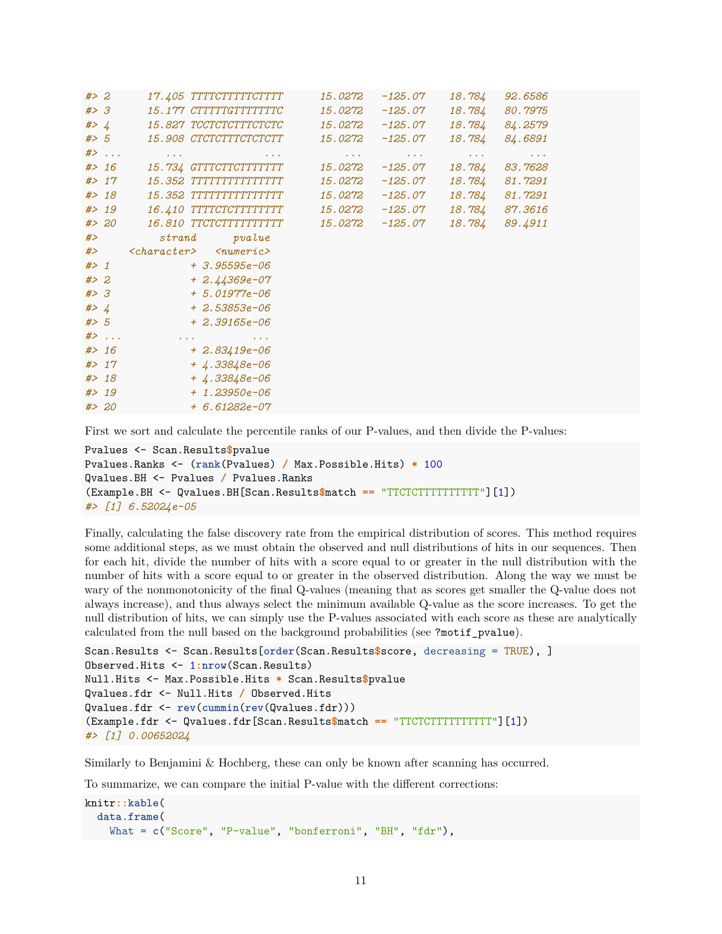| # > 2  |        | 17.405 TTTTCTTTTTCTTTT                            | 15.0272                             | $-125.07$                            | 18.784                                                                                        | 92.6586                        |  |
|--------|--------|---------------------------------------------------|-------------------------------------|--------------------------------------|-----------------------------------------------------------------------------------------------|--------------------------------|--|
| #> 3   |        | 15.177 CTTTTTGTTTTTTTC                            | 15.0272                             | $-125.07$                            | 18.784                                                                                        | 80.7975                        |  |
| # > 4  |        | 15.827 TCCTCTCTTTCTCTC                            | 15.0272                             | $-125.07$                            | 18.784                                                                                        | 84.2579                        |  |
| # > 5  |        | 15.908 CTCTCTTTCTCTCTT                            | 15.0272                             | $-125.07$                            | 18.784                                                                                        | 84.6891                        |  |
|        | $#$ >  | $\alpha$ , $\alpha$ , $\alpha$<br>$\sim 100$      | $\mathbf{r} \rightarrow \mathbf{r}$ | $\mathbf{z}=\mathbf{z}+\mathbf{z}$ . | $\mathbf{u}^{\prime}$ , $\mathbf{u}^{\prime}$ , $\mathbf{u}^{\prime}$ , $\mathbf{u}^{\prime}$ | $\alpha$ , $\alpha$ , $\alpha$ |  |
|        | # > 16 | 15.734 GTTTCTTCTTTTTTT                            | 15.0272                             | $-125.07$                            | 18.784                                                                                        | 83.7628                        |  |
|        | # > 17 |                                                   | 15.0272                             | $-125.07$                            | 18.784                                                                                        | 81.7291                        |  |
|        | # > 18 |                                                   | 15.0272                             | -125.07                              | 18.784                                                                                        | 81.7291                        |  |
|        | # > 19 | 16.410 TTTTCTCTTTTTTTTT                           | 15.0272                             | $-125.07$                            | 18.784                                                                                        | 87.3616                        |  |
|        | # > 20 | 16.810 TTCTCTTTTTTTTTTT                           | 15.0272 -125.07                     |                                      | 18.784                                                                                        | 89.4911                        |  |
| #>     |        | strand<br>pvalue                                  |                                     |                                      |                                                                                               |                                |  |
| #>     |        | $<$ character> $<$ numeric>                       |                                     |                                      |                                                                                               |                                |  |
| # > 1  |        | $+3.95595e-06$                                    |                                     |                                      |                                                                                               |                                |  |
| # > 2  |        | $+2.44369e-07$                                    |                                     |                                      |                                                                                               |                                |  |
| #> 3   |        | $+ 5.01977e - 06$                                 |                                     |                                      |                                                                                               |                                |  |
| #> $4$ |        | $+ 2.53853e - 06$                                 |                                     |                                      |                                                                                               |                                |  |
| # > 5  |        | $+2.39165e-06$                                    |                                     |                                      |                                                                                               |                                |  |
|        | $#$ >  | <b>Contractor</b><br>and the control of the state |                                     |                                      |                                                                                               |                                |  |
|        | # > 16 | $+2.83419e-06$                                    |                                     |                                      |                                                                                               |                                |  |
|        | # > 17 | $+4.33848e-06$                                    |                                     |                                      |                                                                                               |                                |  |
|        | # > 18 | $+4.33848e-06$                                    |                                     |                                      |                                                                                               |                                |  |
|        | # > 19 | $+ 1.23950e - 06$                                 |                                     |                                      |                                                                                               |                                |  |
|        | # > 20 | $+ 6.61282e-07$                                   |                                     |                                      |                                                                                               |                                |  |

First we sort and calculate the percentile ranks of our P-values, and then divide the P-values:

```
Pvalues <- Scan.Results$pvalue
Pvalues.Ranks <- (rank(Pvalues) / Max.Possible.Hits) * 100
Qvalues.BH <- Pvalues / Pvalues.Ranks
(Example.BH <- Qvalues.BH[Scan.Results$match == "TTCTCTTTTTTTTTT"][1])
#> [1] 6.52024e-05
```
Finally, calculating the false discovery rate from the empirical distribution of scores. This method requires some additional steps, as we must obtain the observed and null distributions of hits in our sequences. Then for each hit, divide the number of hits with a score equal to or greater in the null distribution with the number of hits with a score equal to or greater in the observed distribution. Along the way we must be wary of the nonmonotonicity of the final Q-values (meaning that as scores get smaller the Q-value does not always increase), and thus always select the minimum available Q-value as the score increases. To get the null distribution of hits, we can simply use the P-values associated with each score as these are analytically calculated from the null based on the background probabilities (see ?motif\_pvalue).

```
Scan.Results <- Scan.Results[order(Scan.Results$score, decreasing = TRUE), ]
Observed.Hits <- 1:nrow(Scan.Results)
Null.Hits <- Max.Possible.Hits * Scan.Results$pvalue
Qvalues.fdr <- Null.Hits / Observed.Hits
Qvalues.fdr <- rev(cummin(rev(Qvalues.fdr)))
(Example.fdr <- Qvalues.fdr[Scan.Results$match == "TTCTCTTTTTTTTTT"][1])
#> [1] 0.00652024
```
Similarly to Benjamini & Hochberg, these can only be known after scanning has occurred.

To summarize, we can compare the initial P-value with the different corrections:

```
knitr::kable(
  data.frame(
    What = c("Score", "P-value", "bonferroni", "BH", "fdr"),
```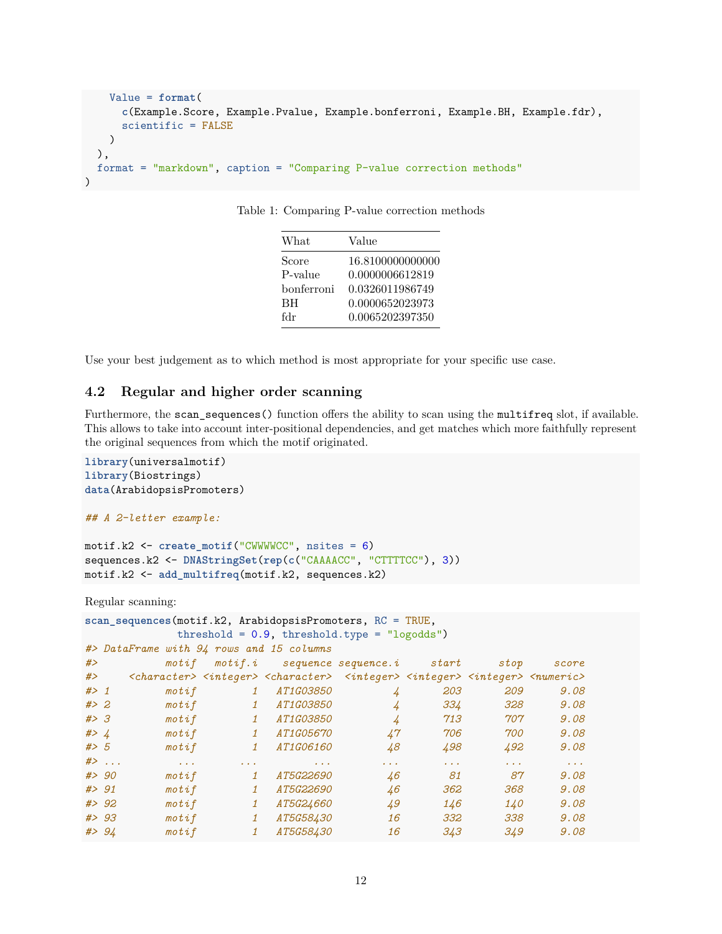```
Value = format(
      c(Example.Score, Example.Pvalue, Example.bonferroni, Example.BH, Example.fdr),
      scientific = FALSE)
 ),
  format = "markdown", caption = "Comparing P-value correction methods"
)
```

| What       | Value            |
|------------|------------------|
| Score      | 16.8100000000000 |
| P-value    | 0.0000006612819  |
| bonferroni | 0.0326011986749  |
| <b>BH</b>  | 0.0000652023973  |
| fdr        | 0.0065202397350  |

Table 1: Comparing P-value correction methods

Use your best judgement as to which method is most appropriate for your specific use case.

#### <span id="page-11-0"></span>**4.2 Regular and higher order scanning**

Furthermore, the scan\_sequences() function offers the ability to scan using the multifreq slot, if available. This allows to take into account inter-positional dependencies, and get matches which more faithfully represent the original sequences from which the motif originated.

```
library(universalmotif)
library(Biostrings)
data(ArabidopsisPromoters)
```

```
## A 2-letter example:
```

```
motif.k2 <- create_motif("CWWWWCC", nsites = 6)
sequences.k2 <- DNAStringSet(rep(c("CAAAACC", "CTTTTCC"), 3))
motif.k2 <- add_multifreq(motif.k2, sequences.k2)
```
Regular scanning:

```
scan sequences(motif.k2, ArabidopsisPromoters, RC = TRUE,
        threshold = 0.9, threshold.type = "logodds")
#> DataFrame with 94 rows and 15 columns
#> motif motif.i sequence sequence.i start stop score
#> <character> <integer> <character> <integer> <integer> <integer> <numeric>
#> 1 motif 1 AT1G03850 4 203 209 9.08
#> 2 motif 1 AT1G03850 4 334 328 9.08
#> 3 motif 1 AT1G03850 4 713 707 9.08
#> 4 motif 1 AT1G05670 47 706 700 9.08
#> 5 motif 1 AT1G06160 48 498 492 9.08
#> ... ... ... ... ... ... ... ...
#> 90 motif 1 AT5G22690 46 81 87 9.08
#> 91 motif 1 AT5G22690 46 362 368 9.08
#> 92 motif 1 AT5G24660 49 146 140 9.08
#> 93 motif 1 AT5G58430 16 332 338 9.08
#> 94 motif 1 AT5G58430 16 343 349 9.08
```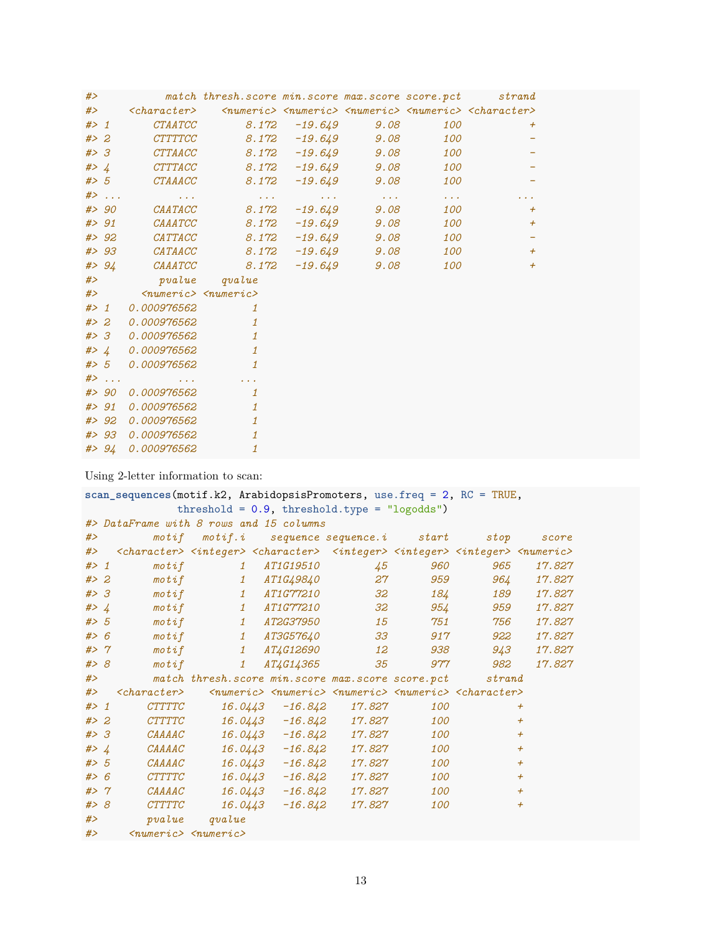| #>                  |        |                                            | match thresh.score min.score max.score score.pct |                                                                                                     |                       | strand                                                                                           |  |
|---------------------|--------|--------------------------------------------|--------------------------------------------------|-----------------------------------------------------------------------------------------------------|-----------------------|--------------------------------------------------------------------------------------------------|--|
| #                   |        | $<$ character $>$                          |                                                  |                                                                                                     |                       | $\langle$ numeric> $\langle$ numeric> $\langle$ numeric> $\langle$ numeric> $\langle$ character> |  |
| $#$ 1               |        |                                            | CTAATCC 8.172 -19.649 9.08                       |                                                                                                     | 100                   | $^{+}$                                                                                           |  |
| # > 2               |        | CTTTTCC                                    | $8.172$ $-19.649$ $9.08$                         |                                                                                                     | 100                   |                                                                                                  |  |
| #> 3                |        | CTTAACC                                    |                                                  | $8.172$ $-19.649$ $9.08$                                                                            | 100                   |                                                                                                  |  |
|                     | # > 4  | CTTTACC                                    | $8.172$ $-19.649$ $9.08$                         |                                                                                                     | 100                   |                                                                                                  |  |
|                     |        | #> 5 CTAAACC                               | 8.172                                            | $-19.649$ $9.08$                                                                                    | 100                   |                                                                                                  |  |
|                     | $#$    | and a string                               |                                                  | the contract of the contract of the contract of the contract of the contract of the contract of the | $\sim 100$ km $^{-2}$ |                                                                                                  |  |
|                     | # > 90 |                                            | $CAATACC$ 8.172                                  | $-19.649$ 9.08                                                                                      | 100                   | $+$                                                                                              |  |
|                     | # > 91 | $\it{CAAATCC}$                             | 8.172                                            | $-19.649$ 9.08                                                                                      | 100                   | $^{+}$                                                                                           |  |
|                     | # > 92 |                                            | $CATTACC$ 8.172                                  | $-19.649$ 9.08                                                                                      | 100                   |                                                                                                  |  |
|                     | # > 93 | $\it{CATAACC}$                             | 8.172                                            | $-19.649$ 9.08                                                                                      | 100                   | $^{+}$                                                                                           |  |
|                     | # > 94 |                                            | $\mathit{CAAATCC} \qquad \qquad \mathit{8.172}$  | $-19.649$ 9.08                                                                                      | 100                   | $\overline{+}$                                                                                   |  |
| #>                  |        |                                            | pvalue qvalue                                    |                                                                                                     |                       |                                                                                                  |  |
|                     |        | #> <numeric> <numeric></numeric></numeric> |                                                  |                                                                                                     |                       |                                                                                                  |  |
| $#$ $\rightarrow$ 1 |        | 0.000976562                                | 1                                                |                                                                                                     |                       |                                                                                                  |  |
|                     | # > 2  | 0.000976562                                | $\mathbf{1}$                                     |                                                                                                     |                       |                                                                                                  |  |
|                     |        | #> 3 0.000976562                           | $\mathbf{1}$                                     |                                                                                                     |                       |                                                                                                  |  |
|                     |        | #> 4 0.000976562                           | $\mathbf{1}$                                     |                                                                                                     |                       |                                                                                                  |  |
|                     |        | #> 5 0.000976562                           | $\mathbf{1}$                                     |                                                                                                     |                       |                                                                                                  |  |
|                     | $#$ >  | $\alpha$ , $\alpha$ , $\alpha$             | <b>Contract Contract</b>                         |                                                                                                     |                       |                                                                                                  |  |
|                     |        | #> 90 0.000976562                          | $\mathbf{1}$                                     |                                                                                                     |                       |                                                                                                  |  |
|                     | # > 91 | 0.000976562                                | $\mathbf{1}$                                     |                                                                                                     |                       |                                                                                                  |  |
|                     |        | #> 92 0.000976562                          | $\mathbf{1}$                                     |                                                                                                     |                       |                                                                                                  |  |
|                     |        | #> 93 0.000976562                          | $\mathbf{1}$                                     |                                                                                                     |                       |                                                                                                  |  |
|                     |        | #> 94 0.000976562                          | $\mathbf{1}$                                     |                                                                                                     |                       |                                                                                                  |  |

Using 2-letter information to scan:

```
scan_sequences(motif.k2, ArabidopsisPromoters, use.freq = 2, RC = TRUE,
         threshold = 0.9, threshold.type = "logodds")
#> DataFrame with 8 rows and 15 columns
#> motif motif.i sequence sequence.i start stop score
#> <character> <integer> <character> <integer> <integer> <integer> <numeric>
   #> 1 motif 1 AT1G19510 45 960 965 17.827
#> 2 motif 1 AT1G49840 27 959 964 17.827
#> 3 motif 1 AT1G77210 32 184 189 17.827
#> 4 motif 1 AT1G77210 32 954 959 17.827
#> 5 motif 1 AT2G37950 15 751 756 17.827
#> 6 motif 1 AT3G57640 33 917 922 17.827
#> 7 motif 1 AT4G12690 12 938 943 17.827
#> 8 motif 1 AT4G14365 35 977 982 17.827
#> match thresh.score min.score max.score score.pct strand
#> <character> <numeric> <numeric> <numeric> <numeric> <character>
#> 1 CTTTTC 16.0443 -16.842 17.827 100 +
#> 2 CTTTTC 16.0443 -16.842 17.827 100 +
#> 3 CAAAAC 16.0443 -16.842 17.827 100 +
#> 4 CAAAAC 16.0443 -16.842 17.827 100 +
#> 5 CAAAAC 16.0443 -16.842 17.827 100 +
#> 6 CTTTTC 16.0443 -16.842 17.827 100 +
#> 7 CAAAAC 16.0443 -16.842 17.827 100 +
      #> 8 CTTTTC 16.0443 -16.842 17.827 100 +
#> pvalue qvalue
#> <numeric> <numeric>
```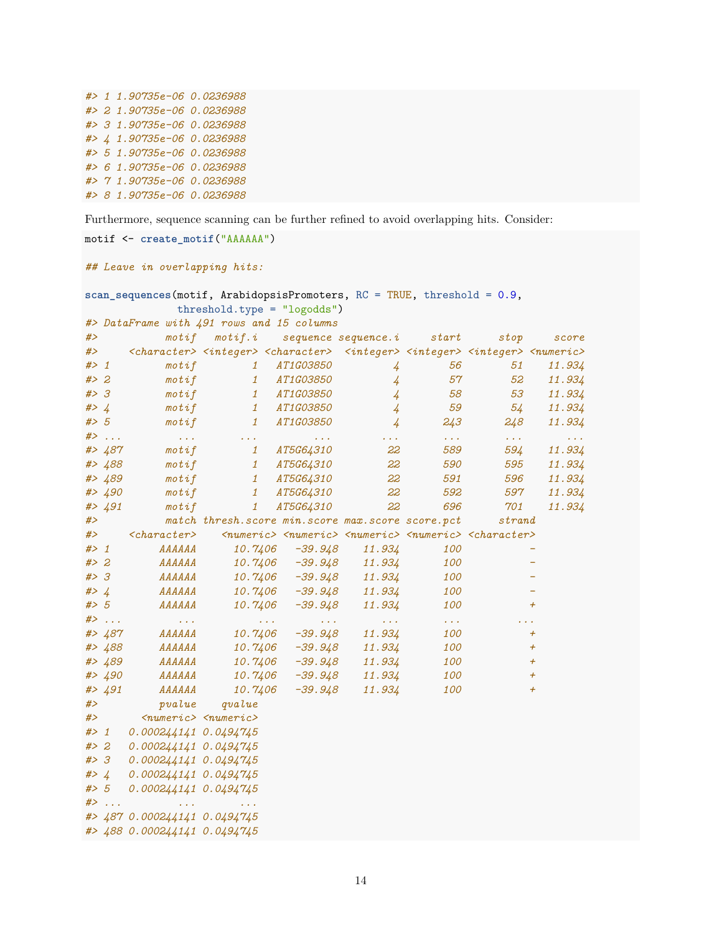|  | #> 1 1.90735e-06 0.0236988<br>#> 2 1.90735e-06 0.0236988<br>#> 3 1.90735e-06 0.0236988<br>#> 4 1.90735e-06 0.0236988<br>#> 5 1.90735e-06 0.0236988<br>#> 6 1.90735e-06 0.0236988<br>#> 7 1.90735e-06 0.0236988<br>#> 8 1.90735e-06 0.0236988 |
|--|----------------------------------------------------------------------------------------------------------------------------------------------------------------------------------------------------------------------------------------------|

Furthermore, sequence scanning can be further refined to avoid overlapping hits. Consider:

```
motif <- create_motif("AAAAAA")
## Leave in overlapping hits:
scan_sequences(motif, ArabidopsisPromoters, RC = TRUE, threshold = 0.9,
         threshold.type = "logodds")
#> DataFrame with 491 rows and 15 columns
#> motif motif.i sequence sequence.i start stop score
#> <character> <integer> <character> <integer> <integer> <integer> <numeric>
#> 1 motif 1 AT1G03850 4 56 51 11.934
#> 2 motif 1 AT1G03850 4 57 52 11.934
#> 3 motif 1 AT1G03850 4 58 53 11.934
#> 4 motif 1 AT1G03850 4 59 54 11.934
#> 5 motif 1 AT1G03850 4 243 248 11.934
#> ... ... ... ... ... ... ... ...
#> 487 motif 1 AT5G64310 22 589 594 11.934
#> 488 motif 1 AT5G64310 22 590 595 11.934
#> 489 motif 1 AT5G64310 22 591 596 11.934
#> 490 motif 1 AT5G64310 22 592 597 11.934
#> 491 motif 1 AT5G64310 22 696 701 11.934
#> match thresh.score min.score max.score score.pct strand
#> <character> <numeric> <numeric> <numeric> <numeric> <character>
#> 1 AAAAAA 10.7406 -39.948 11.934 100 -
#> 2 AAAAAA 10.7406 -39.948 11.934 100 -
#> 3 AAAAAA 10.7406 -39.948 11.934 100 -
#> 4 AAAAAA 10.7406 -39.948 11.934 100 -
#> 5 AAAAAA 10.7406 -39.948 11.934 100 +
#> ... ... ... ... ... ... ...
#> 487 AAAAAA 10.7406 -39.948 11.934 100 +
#> 488 AAAAAA 10.7406 -39.948 11.934 100 +
#> 489 AAAAAA 10.7406 -39.948 11.934 100 +
#> 490 AAAAAA 10.7406 -39.948 11.934 100 +
#> 491 AAAAAA 10.7406 -39.948 11.934 100 +
#> pvalue qvalue
#> <numeric> <numeric>
#> 1 0.000244141 0.0494745
#> 2 0.000244141 0.0494745
#> 3 0.000244141 0.0494745
#> 4 0.000244141 0.0494745
#> 5 0.000244141 0.0494745
#> ... ... ...
#> 487 0.000244141 0.0494745
#> 488 0.000244141 0.0494745
```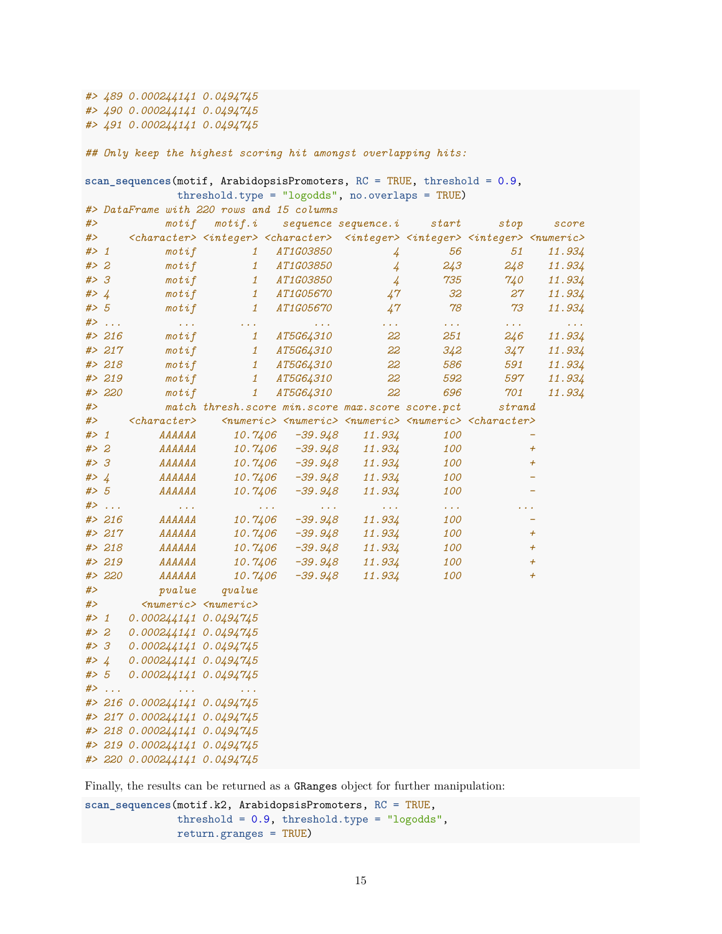*#> 489 0.000244141 0.0494745 #> 490 0.000244141 0.0494745 #> 491 0.000244141 0.0494745*

*## Only keep the highest scoring hit amongst overlapping hits:*

|         | $scan_s$ equences(motif, ArabidopsisPromoters, RC = TRUE, threshold = 0.9, |                                                             |                                                                                                                                                                       |                                              |                                                          |                                         |                                                                                                         |                                        |
|---------|----------------------------------------------------------------------------|-------------------------------------------------------------|-----------------------------------------------------------------------------------------------------------------------------------------------------------------------|----------------------------------------------|----------------------------------------------------------|-----------------------------------------|---------------------------------------------------------------------------------------------------------|----------------------------------------|
|         |                                                                            |                                                             | $threshold-type = "logodds", nooverlaps = TRUE)$                                                                                                                      |                                              |                                                          |                                         |                                                                                                         |                                        |
|         |                                                                            |                                                             | #> DataFrame with 220 rows and 15 columns                                                                                                                             |                                              |                                                          |                                         |                                                                                                         |                                        |
| #>      |                                                                            | motif                                                       | $\mathit{motif.i}$ sequence sequence.i                                                                                                                                |                                              |                                                          | $\emph{start}$                          | stop                                                                                                    | score                                  |
| #>      |                                                                            |                                                             | <character> <integer> <character> <integer> <integer> <integer> <mteger> <mumeric></mumeric></mteger></integer></integer></integer></character></integer></character> |                                              |                                                          |                                         |                                                                                                         |                                        |
| # > 1   |                                                                            | $\mathop{\mathtt{mot}}\nolimits$                            | $\mathbf{1}$                                                                                                                                                          | <i>AT1G03850</i>                             | $\frac{1}{4}$                                            | 56                                      | 51                                                                                                      | 11.934                                 |
| # > 2   |                                                                            | $\mathit{motif}$                                            | $\mathbf{1}$                                                                                                                                                          | <i>AT1G03850</i>                             | $\frac{1}{4}$                                            | 243                                     | 248                                                                                                     | 11.934                                 |
| #> 3    |                                                                            | $\mathit{motif}$                                            | $\mathbf{1}$                                                                                                                                                          | <i>AT1G03850</i>                             | $\frac{1}{4}$                                            | 735                                     | 740                                                                                                     | 11.934                                 |
|         | # > 4                                                                      | $\mathit{motif}$                                            | $1\overline{ }$                                                                                                                                                       | <i>AT1G05670</i>                             | 47                                                       | 32                                      | 27                                                                                                      | 11.934                                 |
| #> 5    |                                                                            | $\mathit{motif}$                                            | $\mathbf{1}$                                                                                                                                                          | <i>AT1G05670</i>                             | 47                                                       | 78                                      | 73                                                                                                      | 11.934                                 |
|         | $#$ >                                                                      | $\sim 100\,M_\odot$                                         | $\sim 100\,M_\odot$                                                                                                                                                   | $\mathcal{L}(\mathcal{L},\mathcal{L})$       | $\mathcal{L}(\mathcal{L}^{\prime},\mathcal{L}^{\prime})$ | $\mathcal{L}(\mathcal{L}(\mathcal{A}))$ | $\mathcal{L}(\mathcal{L}(\mathcal{L}))$                                                                 | $\mathcal{L}(\mathcal{L},\mathcal{L})$ |
|         | # > 216                                                                    | $\mathit{motif}$                                            | $1\overline{ }$                                                                                                                                                       | <i>AT5G64310</i>                             | 22                                                       | 251                                     | 246                                                                                                     | 11.934                                 |
|         | # > 217                                                                    | $\mathit{motif}$                                            | $1\overline{ }$                                                                                                                                                       | <i>AT5G64310</i>                             | 22                                                       | 342                                     | 347                                                                                                     | 11.934                                 |
|         | # > 218                                                                    | $\mathit{motif}$                                            | $\mathbf{1}$                                                                                                                                                          | <i>AT5G64310</i>                             | 22                                                       | 586                                     | 591                                                                                                     | 11.934                                 |
|         | # > 219                                                                    | $\mathit{motif}$                                            | $\mathbf{1}$                                                                                                                                                          | <i>AT5G64310</i>                             | 22                                                       | 592                                     | 597                                                                                                     | 11.934                                 |
|         | #> 220                                                                     | $\mathop{\mathsf{mot}}\nolimits$ if                         | $\mathbf{1}$                                                                                                                                                          | AT5G64310                                    | 22                                                       | 696                                     | 701                                                                                                     | 11.934                                 |
| #>      |                                                                            |                                                             | match thresh. score min. score max. score score. pct                                                                                                                  |                                              |                                                          |                                         | strand                                                                                                  |                                        |
| #>      |                                                                            | $<$ character>                                              |                                                                                                                                                                       |                                              |                                                          |                                         | <numeric> <numeric> <numeric> <numeric> <character></character></numeric></numeric></numeric></numeric> |                                        |
| # > 1   |                                                                            | AAAAAA                                                      | 10.7406                                                                                                                                                               | -39.948                                      | 11.934                                                   | 100                                     |                                                                                                         |                                        |
| # > 2   |                                                                            | AAAAAA                                                      |                                                                                                                                                                       | $10.7406 - 39.948$                           | 11.934                                                   | 100                                     |                                                                                                         | $+$                                    |
| #> 3    |                                                                            | AAAAAA                                                      |                                                                                                                                                                       | 10.7406 -39.948                              | 11.934                                                   | 100                                     |                                                                                                         | $+$                                    |
| # > 4   |                                                                            | AAAAAA                                                      |                                                                                                                                                                       | 10.7406 -39.948                              | 11.934                                                   | 100                                     |                                                                                                         |                                        |
| # > 5   |                                                                            | AAAAAA                                                      | 10.7406                                                                                                                                                               | -39.948                                      | 11.934                                                   | 100                                     |                                                                                                         |                                        |
|         | $#$ >                                                                      | $\sim 100$ km s $^{-1}$                                     | $\mathbf{z}$ , $\mathbf{z}$ , $\mathbf{z}$                                                                                                                            | $\mathbf{z}$ , $\mathbf{z}$ , $\mathbf{z}$ , | $\mathcal{L}(\mathcal{L}(\mathcal{A}))$                  | $\sim 100$ km $^{-1}$                   |                                                                                                         |                                        |
|         | # > 216                                                                    | AAAAAA                                                      | 10.7406                                                                                                                                                               |                                              | $-39.948$ $11.934$                                       | 100                                     |                                                                                                         | $\qquad \qquad -$                      |
|         | # > 217                                                                    | AAAAAA                                                      |                                                                                                                                                                       | 10.7406 -39.948                              | 11.934                                                   | 100                                     |                                                                                                         | $+$                                    |
|         | # > 218                                                                    | AAAAAA                                                      | 10.7406                                                                                                                                                               | -39.948                                      | 11.934                                                   | 100                                     |                                                                                                         | $\overline{+}$                         |
|         | # > 219                                                                    | АААААА                                                      | 10.7406                                                                                                                                                               | -39.948                                      | 11.934                                                   | 100                                     |                                                                                                         | $\overline{+}$                         |
|         | #> 220                                                                     | AAAAAA                                                      | 10.7406                                                                                                                                                               | -39.948                                      | 11.934                                                   | 100                                     |                                                                                                         | $\pmb{+}$                              |
| #>      |                                                                            | pvalue                                                      | qvalue                                                                                                                                                                |                                              |                                                          |                                         |                                                                                                         |                                        |
| #>      |                                                                            |                                                             | $\langle numeric \rangle$ $\langle numeric \rangle$                                                                                                                   |                                              |                                                          |                                         |                                                                                                         |                                        |
| $#$ > 1 |                                                                            | 0.000244141 0.0494745                                       |                                                                                                                                                                       |                                              |                                                          |                                         |                                                                                                         |                                        |
|         | #> 2                                                                       | 0.000244141 0.0494745                                       |                                                                                                                                                                       |                                              |                                                          |                                         |                                                                                                         |                                        |
|         | #> 3                                                                       | 0.000244141   0.0494745                                     |                                                                                                                                                                       |                                              |                                                          |                                         |                                                                                                         |                                        |
|         | #> $\sqrt{4}$                                                              | 0.000244141   0.0494745                                     |                                                                                                                                                                       |                                              |                                                          |                                         |                                                                                                         |                                        |
| # > 5   |                                                                            | 0.0002441410.0494745                                        |                                                                                                                                                                       |                                              |                                                          |                                         |                                                                                                         |                                        |
|         | $#$                                                                        | $\mathcal{L}^{\mathcal{A}}$ and $\mathcal{L}^{\mathcal{A}}$ |                                                                                                                                                                       |                                              |                                                          |                                         |                                                                                                         |                                        |
|         |                                                                            | #> 216 0.000244141 0.0494745                                |                                                                                                                                                                       |                                              |                                                          |                                         |                                                                                                         |                                        |
|         |                                                                            | #> 217 0.000244141 0.0494745                                |                                                                                                                                                                       |                                              |                                                          |                                         |                                                                                                         |                                        |
|         |                                                                            | #> 218 0.000244141 0.0494745                                |                                                                                                                                                                       |                                              |                                                          |                                         |                                                                                                         |                                        |
|         |                                                                            | #> 219 0.000244141 0.0494745                                |                                                                                                                                                                       |                                              |                                                          |                                         |                                                                                                         |                                        |
|         |                                                                            | #> 220 0.000244141 0.0494745                                |                                                                                                                                                                       |                                              |                                                          |                                         |                                                                                                         |                                        |

Finally, the results can be returned as a GRanges object for further manipulation:

```
scan_sequences(motif.k2, ArabidopsisPromoters, RC = TRUE,
              threshold = 0.9, threshold.type = "logodds",
              return.granges = TRUE)
```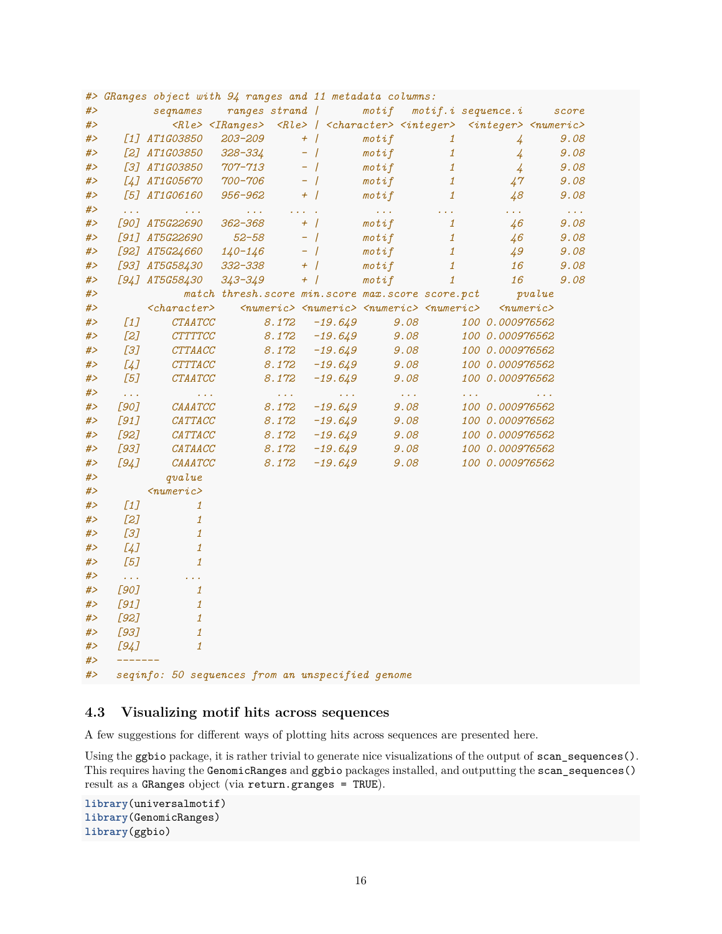|          |                                                |                                                    | #> GRanges object with 94 ranges and 11 metadata columns:                                                                         |                                                                                 |                               |                                          |                          |                       |
|----------|------------------------------------------------|----------------------------------------------------|-----------------------------------------------------------------------------------------------------------------------------------|---------------------------------------------------------------------------------|-------------------------------|------------------------------------------|--------------------------|-----------------------|
| #>       |                                                | segnames                                           | ranges strand /                                                                                                                   |                                                                                 | $\mathit{motif}$              | $motif.i$ sequence. $i$                  |                          | score                 |
| #>       |                                                |                                                    | <rle> <iranges> <rle> / <character> <integer> <integer> <numeric></numeric></integer></integer></character></rle></iranges></rle> |                                                                                 |                               |                                          |                          |                       |
| #>       |                                                | [1] AT1G03850                                      | $203 - 209$                                                                                                                       | $+$                                                                             | $\mathit{motif}$              | $\mathbf{1}$                             | $\overline{4}$           | 9.08                  |
| #>       |                                                | [2] AT1G03850                                      | 328-334                                                                                                                           | $-$ /                                                                           | $\mathit{motif}$              | $\mathbf{1}$                             | $\overline{4}$           | 9.08                  |
| #>       |                                                | [3] AT1G03850                                      | 707–713                                                                                                                           | $-$ /                                                                           | $\mathop{\mathsf{mot}} i$ $f$ | $\mathbf{1}$                             | $\frac{1}{4}$            | 9.08                  |
| #>       |                                                | [4] AT1G05670                                      | 700-706                                                                                                                           | $-$ /                                                                           | $\mathit{motif}$              | $\it 1$                                  | 47                       | 9.08                  |
| #>       |                                                | [5] AT1G06160                                      | 956-962                                                                                                                           | $+$                                                                             | $\mathit{motif}$              | $\mathbf{1}$                             | 48                       | 9.08                  |
| #>       | $\mathbb{Z}^2$ .                               | $\mathcal{L}(\mathcal{L}(\mathcal{L}))$            | $\mathbf{1}^{\prime}$ , $\mathbf{1}^{\prime}$ , $\mathbf{1}^{\prime}$                                                             | $\mathcal{L}(\mathcal{L}(\mathcal{L}))$ .                                       | $\sim 100$ km s $^{-1}$       | $\mathcal{L}(\mathcal{L},\mathcal{L})$   | in an                    | $\sim 100$ km $^{-2}$ |
| #>       |                                                | [90] AT5G22690                                     | 362-368                                                                                                                           | $+$                                                                             | $\mathit{motif}$              | $\mathbf{1}$                             | 46                       | 9.08                  |
| #>       |                                                | [91] AT5G22690                                     | $52 - 58$                                                                                                                         | $-$ /                                                                           | $\mathit{motif}$              | $\mathbf{1}$                             | 46                       | 9.08                  |
| #>       |                                                | [92] AT5G24660                                     | $140 - 146$                                                                                                                       | $-$ /                                                                           | $\mathit{motif}$              | $\mathbf{1}$                             | 49                       | 9.08                  |
| #>       |                                                | [93] AT5G58430                                     | 332-338                                                                                                                           | $+$                                                                             | $\mathit{motif}$              | $\mathbf{1}$                             | 16                       | 9.08                  |
| #>       |                                                | [94] AT5G58430                                     | $343 - 349$                                                                                                                       | $+$                                                                             | $\mathit{motif}$              | $\mathbf{1}$                             | 16                       | 9.08                  |
| #>       |                                                |                                                    | match thresh. score min. score max. score score. pct                                                                              |                                                                                 |                               |                                          | pvalue                   |                       |
| #>       |                                                | $<$ character>                                     |                                                                                                                                   | <numeric> <numeric> <numeric> <numeric></numeric></numeric></numeric></numeric> |                               |                                          | $\langle numeric\rangle$ |                       |
| #>       | $\left[1\right]$                               | <b>CTAATCC</b>                                     | 8.172                                                                                                                             | $-19.649$                                                                       | 9.08                          |                                          | 100 0.000976562          |                       |
| #>       | $[2]$                                          | <b>CTTTTCC</b>                                     | 8.172                                                                                                                             | $-19.649$                                                                       | 9.08                          |                                          | 100 0.000976562          |                       |
| #>       | [3]                                            | CTTAACC                                            | 8.172                                                                                                                             | $-19.649$                                                                       | 9.08                          |                                          | 100 0.000976562          |                       |
| #>       | [4]                                            | CTTTACC                                            | 8.172                                                                                                                             | $-19.649$                                                                       | 9.08                          |                                          | 100 0.000976562          |                       |
| #>       | [5]                                            | CTAATCC                                            | 8.172                                                                                                                             | $-19.649$                                                                       | 9.08                          |                                          | 100 0.000976562          |                       |
| #>       | $\omega$ is $\omega$                           | $\mathcal{L}(\mathcal{L},\mathcal{L})$             | $\mathcal{L}(\mathcal{L}(\mathcal{L}))$                                                                                           | $\mathbf{z}$ , $\mathbf{z}$ , $\mathbf{z}$ ,                                    | $\sim 100\,M_\odot$           | $\mathcal{L}^{\mathcal{A}}(\mathcal{A})$ |                          | $\sim 100$            |
| #>       | [90]                                           | $\it{CAAATCC}$                                     | 8.172                                                                                                                             | $-19.649$                                                                       | 9.08                          |                                          | 100 0.000976562          |                       |
| #>       | [91]                                           | CATTACC                                            | 8.172                                                                                                                             | $-19.649$                                                                       | 9.08                          |                                          | 100 0.000976562          |                       |
| #>       | $[92]$                                         | $\it CATTACC$                                      | 8.172                                                                                                                             | $-19.649$                                                                       | 9.08                          |                                          | 100 0.000976562          |                       |
| #>       | $[93]$                                         | CATAACC                                            | 8.172                                                                                                                             | $-19.649$                                                                       | 9.08                          |                                          | 100 0.000976562          |                       |
| #>       | [94]                                           | $\it{CAAATCC}$                                     | 8.172                                                                                                                             | $-19.649$                                                                       | 9.08                          |                                          | 100 0.000976562          |                       |
| #>       |                                                | qvalue                                             |                                                                                                                                   |                                                                                 |                               |                                          |                          |                       |
| #>       |                                                | $\langle$ numeric>                                 |                                                                                                                                   |                                                                                 |                               |                                          |                          |                       |
| #>       | $\boxed{1}$                                    | $\mathbf{1}$                                       |                                                                                                                                   |                                                                                 |                               |                                          |                          |                       |
| #>       | $[2]$                                          | $\mathbf{1}$                                       |                                                                                                                                   |                                                                                 |                               |                                          |                          |                       |
| #>       | [3]                                            | $\mathbf{1}$                                       |                                                                                                                                   |                                                                                 |                               |                                          |                          |                       |
| #>       | [4]                                            | $\mathbf{1}$                                       |                                                                                                                                   |                                                                                 |                               |                                          |                          |                       |
| #><br>#> | [5]                                            | $\mathbf{1}$                                       |                                                                                                                                   |                                                                                 |                               |                                          |                          |                       |
| #>       | $\mathcal{L}(\mathcal{L},\mathcal{L})$<br>[90] | $\mathbf{z}=\mathbf{z}+\mathbf{z}$<br>$\mathbf{1}$ |                                                                                                                                   |                                                                                 |                               |                                          |                          |                       |
| #>       | [91]                                           | $\mathbf{1}$                                       |                                                                                                                                   |                                                                                 |                               |                                          |                          |                       |
| #>       | [92]                                           | $\mathbf{1}$                                       |                                                                                                                                   |                                                                                 |                               |                                          |                          |                       |
| #>       | $[93]$                                         | $\mathbf{1}$                                       |                                                                                                                                   |                                                                                 |                               |                                          |                          |                       |
| #>       | [94]                                           | $\mathbf{1}$                                       |                                                                                                                                   |                                                                                 |                               |                                          |                          |                       |
| # $>$    |                                                |                                                    |                                                                                                                                   |                                                                                 |                               |                                          |                          |                       |
| #>       |                                                |                                                    | seqinfo: 50 sequences from an unspecified genome                                                                                  |                                                                                 |                               |                                          |                          |                       |
|          |                                                |                                                    |                                                                                                                                   |                                                                                 |                               |                                          |                          |                       |

### <span id="page-15-0"></span>**4.3 Visualizing motif hits across sequences**

A few suggestions for different ways of plotting hits across sequences are presented here.

Using the ggbio package, it is rather trivial to generate nice visualizations of the output of scan\_sequences(). This requires having the GenomicRanges and ggbio packages installed, and outputting the scan\_sequences() result as a GRanges object (via return.granges = TRUE).

```
library(universalmotif)
library(GenomicRanges)
library(ggbio)
```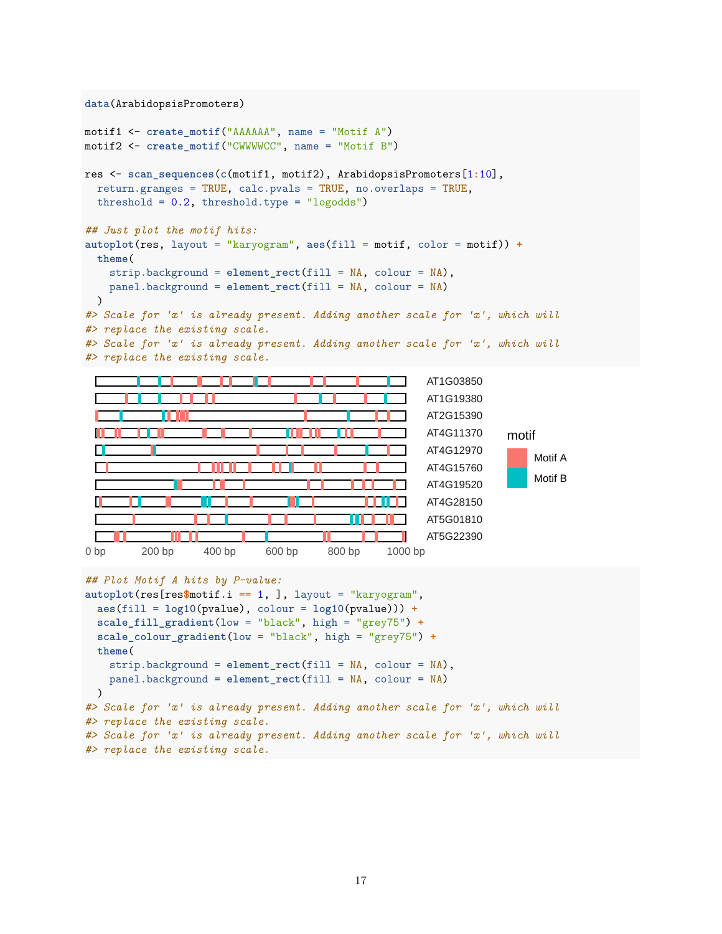```
data(ArabidopsisPromoters)
```

```
motif1 <- create_motif("AAAAAA", name = "Motif A")
motif2 <- create_motif("CWWWWCC", name = "Motif B")
res <- scan_sequences(c(motif1, motif2), ArabidopsisPromoters[1:10],
 return.granges = TRUE, calc.pvals = TRUE, no.overlaps = TRUE,
 threshold = 0.2, threshold.type = "logodds")
## Just plot the motif hits:
autoplot(res, layout = "karyogram", aes(fill = motif, color = motif)) +
 theme(
   strip.background = element_rect(fill = NA, colour = NA),
   panel.background = element_rect(fill = NA, colour = NA)
 )
#> Scale for 'x' is already present. Adding another scale for 'x', which will
#> replace the existing scale.
#> Scale for 'x' is already present. Adding another scale for 'x', which will
#> replace the existing scale.
                                                        AT1G03850
                                                        AT1G19380
                                                        AT2G15390
                                                        AT4G11370
                                                                      motif
                                                        AT4G12970
 П
                                                                          Motif A
                                                        AT4G15760
                                                                          Motif B
                                                        AT4G19520
                                                        AT4G28150
```
0 bp 200 bp 400 bp 600 bp 800 bp 1000 bp

**autoplot**(res[res**\$**motif.i **==** 1, ], layout = "karyogram", **aes**(fill = **log10**(pvalue), colour = **log10**(pvalue))) **+ scale\_fill\_gradient**(low = "black", high = "grey75") **+ scale\_colour\_gradient**(low = "black", high = "grey75") **+**

strip.background = **element\_rect**(fill = NA, colour = NA), panel.background = **element\_rect**(fill = NA, colour = NA)

*#> Scale for 'x' is already present. Adding another scale for 'x', which will*

*#> Scale for 'x' is already present. Adding another scale for 'x', which will*

*## Plot Motif A hits by P-value:*

*#> replace the existing scale.*

*#> replace the existing scale.*

**theme**(

)

AT5G01810 AT5G22390

```
17
```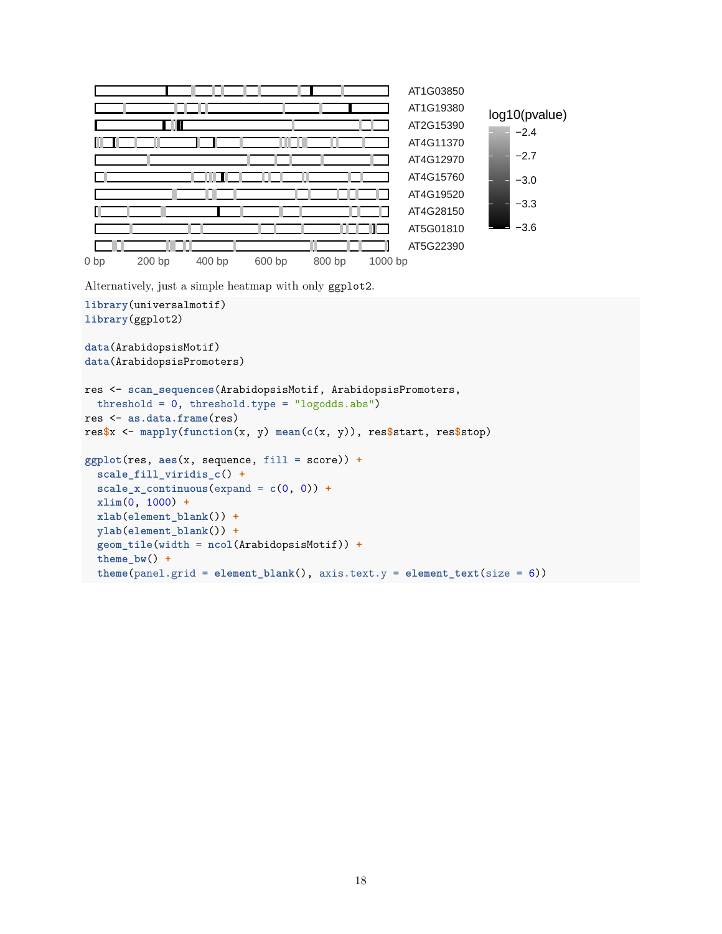

Alternatively, just a simple heatmap with only ggplot2.

```
library(universalmotif)
library(ggplot2)
data(ArabidopsisMotif)
data(ArabidopsisPromoters)
res <- scan_sequences(ArabidopsisMotif, ArabidopsisPromoters,
  threshold = 0, threshold.type = "logodds.abs")
res <- as.data.frame(res)
res$x <- mapply(function(x, y) mean(c(x, y)), res$start, res$stop)
ggplot(res, aes(x, sequence, fill = score)) +
  scale_fill_viridis_c() +
  scale x continuous(expand = c(0, 0)) +xlim(0, 1000) +
  xlab(element_blank()) +
  ylab(element_blank()) +
  geom_tile(width = ncol(ArabidopsisMotif)) +
  theme_bw() +
  theme(panel.grid = element_blank(), axis.text.y = element_text(size = 6))
```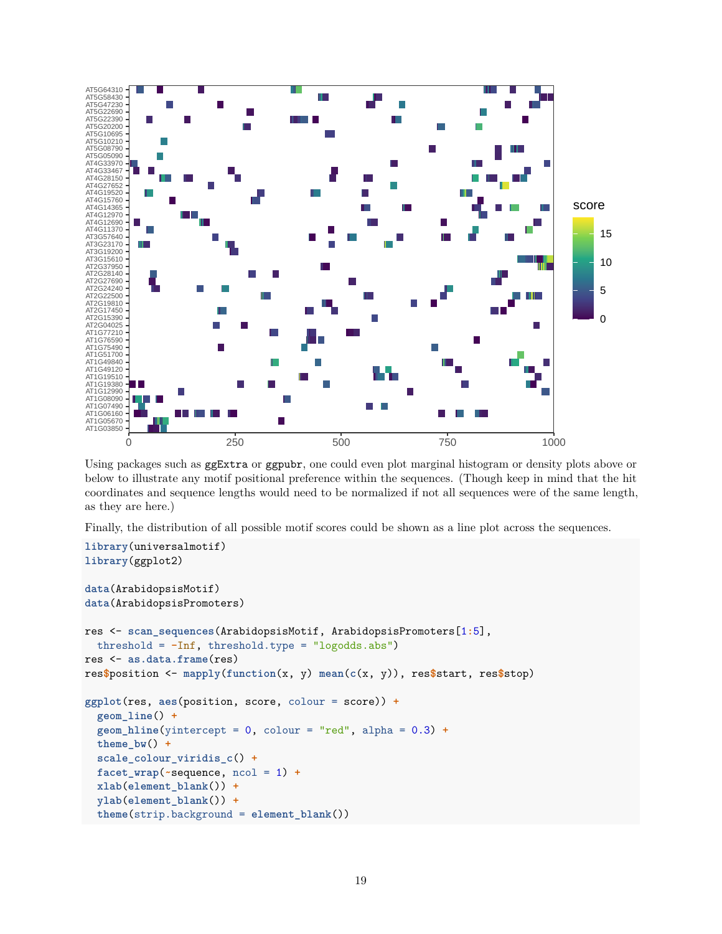

Using packages such as ggExtra or ggpubr, one could even plot marginal histogram or density plots above or below to illustrate any motif positional preference within the sequences. (Though keep in mind that the hit coordinates and sequence lengths would need to be normalized if not all sequences were of the same length, as they are here.)

Finally, the distribution of all possible motif scores could be shown as a line plot across the sequences.

```
library(universalmotif)
library(ggplot2)
data(ArabidopsisMotif)
data(ArabidopsisPromoters)
res <- scan_sequences(ArabidopsisMotif, ArabidopsisPromoters[1:5],
  threshold = -Inf, threshold.type = "logodds.abs")
res <- as.data.frame(res)
res$position <- mapply(function(x, y) mean(c(x, y)), res$start, res$stop)
ggplot(res, aes(position, score, colour = score)) +
  geom_line() +
  geom_hline(yintercept = 0, colour = "red", alpha = 0.3) +
  theme bw() +scale_colour_viridis_c() +
  facet_wrap(~sequence, ncol = 1) +
  xlab(element_blank()) +
  ylab(element_blank()) +
  theme(strip.background = element_blank())
```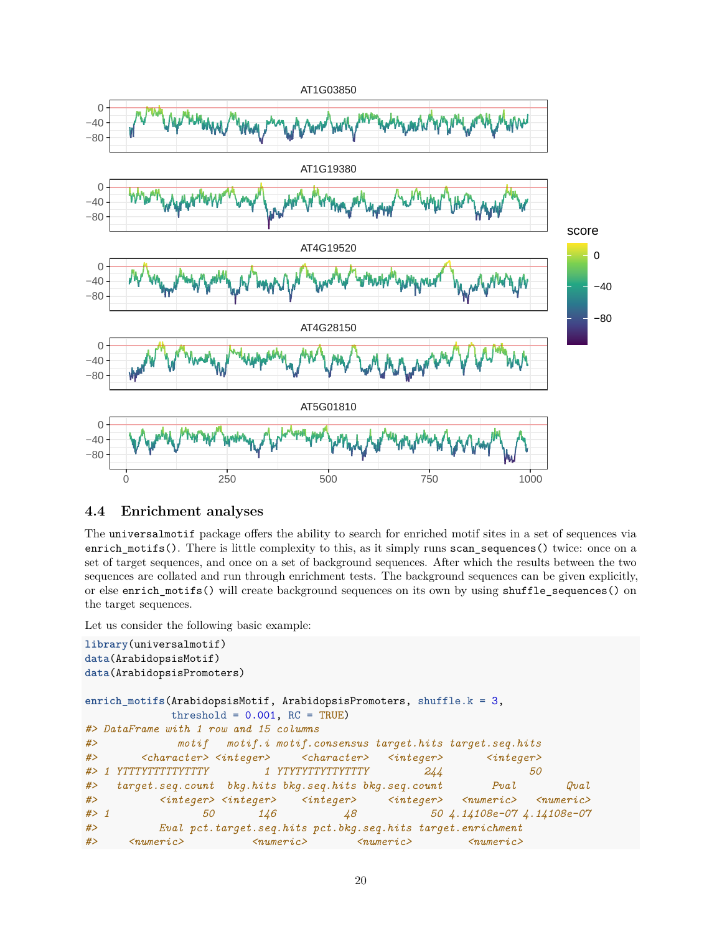

### <span id="page-19-0"></span>**4.4 Enrichment analyses**

The universalmotif package offers the ability to search for enriched motif sites in a set of sequences via enrich\_motifs(). There is little complexity to this, as it simply runs scan\_sequences() twice: once on a set of target sequences, and once on a set of background sequences. After which the results between the two sequences are collated and run through enrichment tests. The background sequences can be given explicitly, or else enrich\_motifs() will create background sequences on its own by using shuffle\_sequences() on the target sequences.

Let us consider the following basic example:

```
library(universalmotif)
data(ArabidopsisMotif)
data(ArabidopsisPromoters)
enrich_motifs(ArabidopsisMotif, ArabidopsisPromoters, shuffle.k = 3,
           threshold = 0.001, RC = TRUE)
#> DataFrame with 1 row and 15 columns
#> motif motif.i motif.consensus target.hits target.seq.hits
#> <character> <integer> <character> <integer> <integer>
#> 1 YTTTYTTTTTYTTTY 1 YTYTYTTYTTYTTTY 244 50
#> target.seq.count bkg.hits bkg.seq.hits bkg.seq.count Pval Qval
#> <integer> <integer> <integer> <integer> <numeric> <numeric>
#> 1 50 146 48 50 4.14108e-07 4.14108e-07
#> Eval pct.target.seq.hits pct.bkg.seq.hits target.enrichment
#> <numeric> <numeric> <numeric> <numeric>
```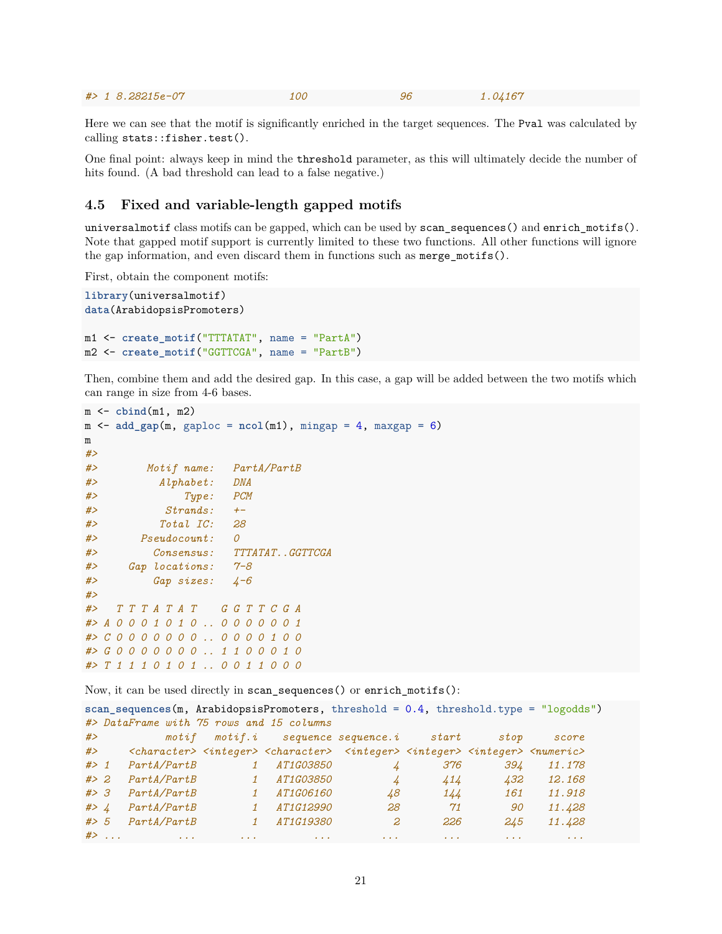|  |  | $# > 18.28215e-07$ | <i>100</i> |  | 1.04167 |
|--|--|--------------------|------------|--|---------|
|--|--|--------------------|------------|--|---------|

Here we can see that the motif is significantly enriched in the target sequences. The Pval was calculated by calling stats::fisher.test().

One final point: always keep in mind the threshold parameter, as this will ultimately decide the number of hits found. (A bad threshold can lead to a false negative.)

#### <span id="page-20-0"></span>**4.5 Fixed and variable-length gapped motifs**

universalmotif class motifs can be gapped, which can be used by scan\_sequences() and enrich\_motifs(). Note that gapped motif support is currently limited to these two functions. All other functions will ignore the gap information, and even discard them in functions such as merge  $motifs()$ .

First, obtain the component motifs:

```
library(universalmotif)
data(ArabidopsisPromoters)
m1 <- create_motif("TTTATAT", name = "PartA")
m2 <- create_motif("GGTTCGA", name = "PartB")
```
Then, combine them and add the desired gap. In this case, a gap will be added between the two motifs which can range in size from 4-6 bases.

```
m <- cbind(m1, m2)
m <- add\_gap(m, gaploc = ncol(m1), mingap = 4, maxgap = 6)m
#>
#> Motif name: PartA/PartB
#> Alphabet: DNA
#> Type: PCM
#> Strands: +-
#> Total IC: 28
#> Pseudocount: 0
#> Consensus: TTTATAT..GGTTCGA
#> Gap locations: 7-8
#> Gap sizes: 4-6
#>
#> T T T A T A T G G T T C G A
#> A 0 0 0 1 0 1 0 .. 0 0 0 0 0 0 1
#> C 0 0 0 0 0 0 0 .. 0 0 0 0 1 0 0
#> G 0 0 0 0 0 0 0 .. 1 1 0 0 0 1 0
#> T 1 1 1 0 1 0 1 .. 0 0 1 1 0 0 0
```
Now, it can be used directly in scan\_sequences() or enrich\_motifs():

```
scan scan sequences(m, ArabidopsisPromoters, threshold = 0.4, threshold.type = "logodds")#> DataFrame with 75 rows and 15 columns
#> motif motif.i sequence sequence.i start stop score
#> <character> <integer> <character> <integer> <integer> <integer> <numeric>
#> 1 PartA/PartB 1 AT1G03850 4 376 394 11.178
#> 2 PartA/PartB 1 AT1G03850 4 414 432 12.168
#> 3 PartA/PartB 1 AT1G06160 48 144 161 11.918
#> 4 PartA/PartB 1 AT1G12990 28 71 90 11.428
#> 5 PartA/PartB 1 AT1G19380 2 226 245 11.428
#> ... ... ... ... ... ... ... ...
```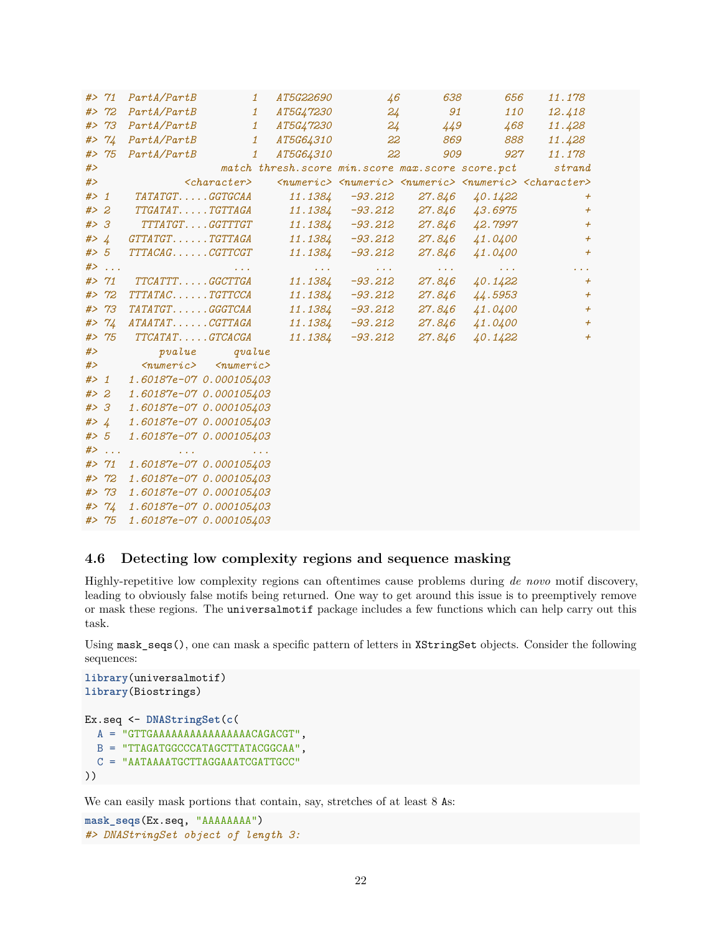|        | # > 71  | PartA/PartB<br>$\mathbf{1}$                                                                               | AT5G22690                                            | $\overline{46}$                                            | 638                                  | 656                                                    | 11.178                                                                                                  |
|--------|---------|-----------------------------------------------------------------------------------------------------------|------------------------------------------------------|------------------------------------------------------------|--------------------------------------|--------------------------------------------------------|---------------------------------------------------------------------------------------------------------|
|        | # > 72  | PartA/PartB<br>$\mathbf{1}$                                                                               | <i>AT5G47230</i>                                     |                                                            | 24<br>91                             | 110                                                    | 12.418                                                                                                  |
|        | # > 73  | PartA/PartB<br>$1\overline{ }$                                                                            | <i>AT5G47230</i>                                     |                                                            | $24^{+}$<br>449                      | 468                                                    | 11.428                                                                                                  |
|        | # > 74  | PartA/PartB<br>$1\overline{ }$                                                                            | <i>AT5G64310</i>                                     |                                                            | 22<br>869                            | 888                                                    | 11.428                                                                                                  |
|        | # > 75  | PartA/PartB<br>$\mathbf{1}$                                                                               | <i>AT5G64310</i>                                     | 22                                                         | 909                                  | 927                                                    | 11.178                                                                                                  |
| # $>$  |         |                                                                                                           | match thresh. score min. score max. score score. pct |                                                            |                                      |                                                        | strand                                                                                                  |
| # $>$  |         | $<$ character>                                                                                            |                                                      |                                                            |                                      |                                                        | <numeric> <numeric> <numeric> <numeric> <character></character></numeric></numeric></numeric></numeric> |
|        | $#$ > 1 | <i>TATATGTGGTGCAA</i>                                                                                     | 11.1384                                              | -93.212                                                    | 27.846                               | 40.1422                                                | $\pm$                                                                                                   |
| # > 2  |         | <i>TTGATATTGTTAGA</i>                                                                                     | 11.1384                                              | $-93.212$                                                  | 27.846                               | 43.6975                                                | $\pm$                                                                                                   |
| #> 3   |         | TTTATGTGGTTTGT                                                                                            | 11.1384                                              | -93.212                                                    | 27.846                               | 42.7997                                                | $\overline{+}$                                                                                          |
|        | #> $4$  | $GTTATGT. \ldots . TGTTAGA$                                                                               | 11.1384                                              | -93.212                                                    | 27.846                               | 41.0400                                                | $\overline{+}$                                                                                          |
|        | # > 5   | TTTACAGCGTTCGT                                                                                            | 11.1384                                              | -93.212                                                    |                                      | 27.846 41.0400                                         | $\overline{+}$                                                                                          |
|        | $#$     | $\mathbf{r}=\mathbf{r}+\mathbf{r}$ .                                                                      | <b>Carlos Con</b>                                    | $\mathbf{r} \rightarrow \mathbf{r} \rightarrow \mathbf{r}$ | $\mathbf{z}=\mathbf{z}+\mathbf{z}$ . | $\sigma_{\rm c}$ , $\sigma_{\rm c}$ , $\sigma_{\rm c}$ | a a la                                                                                                  |
|        | # > 71  | $TTCA\, TTT. \dots . GGCTTGA$                                                                             | 11.1384                                              | $-93.212$                                                  | 27.846                               | 40.1422                                                | $\overline{+}$                                                                                          |
|        | # > 72  | TTTATACTGTTCCA                                                                                            | 11.1384                                              | $-93.212$                                                  | 27.846                               | 44.5953                                                | $\overline{+}$                                                                                          |
|        | # > 73  | TATATGTGGGTCAA                                                                                            | 11.1384                                              | $-93.212$                                                  | 27.846                               | 41.0400                                                | $\overline{+}$                                                                                          |
|        | # > 74  | $ATAATAT. \ldots . CGTTAGA$                                                                               | 11.1384                                              | -93.212                                                    | 27.846                               | 41.0400                                                | $\overline{+}$                                                                                          |
|        | # > 75  | $TTCATAT. \ldots . GTCACGA$                                                                               | 11.1384                                              | $-93.212$                                                  | 27.846                               | 40.1422                                                | $+$                                                                                                     |
| #>     |         | pvalue<br>qvalue                                                                                          |                                                      |                                                            |                                      |                                                        |                                                                                                         |
| #>     |         | $\langle numeric \rangle$ $\langle numeric \rangle$                                                       |                                                      |                                                            |                                      |                                                        |                                                                                                         |
| $#$ 1  |         | 1.60187e-07 0.000105403                                                                                   |                                                      |                                                            |                                      |                                                        |                                                                                                         |
|        | # > 2   | 1.60187e-07 0.000105403                                                                                   |                                                      |                                                            |                                      |                                                        |                                                                                                         |
|        | #> 3    | 1.60187e-07 0.000105403                                                                                   |                                                      |                                                            |                                      |                                                        |                                                                                                         |
| #> $4$ |         | 1.60187e-07 0.000105403                                                                                   |                                                      |                                                            |                                      |                                                        |                                                                                                         |
| #> 5   |         | 1.60187e-07 0.000105403                                                                                   |                                                      |                                                            |                                      |                                                        |                                                                                                         |
|        | $#$     | the control of the state of the control of<br>$\mathcal{L}^{\mathcal{A}}$ and $\mathcal{L}^{\mathcal{A}}$ |                                                      |                                                            |                                      |                                                        |                                                                                                         |
|        | # > 71  | 1.60187e-07 0.000105403                                                                                   |                                                      |                                                            |                                      |                                                        |                                                                                                         |
|        | # > 72  | 1.60187e-07 0.000105403                                                                                   |                                                      |                                                            |                                      |                                                        |                                                                                                         |
|        | # > 73  | 1.60187e-07 0.000105403                                                                                   |                                                      |                                                            |                                      |                                                        |                                                                                                         |
|        | # > 74  | 1.60187e-07 0.000105403                                                                                   |                                                      |                                                            |                                      |                                                        |                                                                                                         |
|        | # > 75  | 1.60187e-07 0.000105403                                                                                   |                                                      |                                                            |                                      |                                                        |                                                                                                         |

### <span id="page-21-0"></span>**4.6 Detecting low complexity regions and sequence masking**

Highly-repetitive low complexity regions can oftentimes cause problems during *de novo* motif discovery, leading to obviously false motifs being returned. One way to get around this issue is to preemptively remove or mask these regions. The universalmotif package includes a few functions which can help carry out this task.

Using mask\_seqs(), one can mask a specific pattern of letters in XStringSet objects. Consider the following sequences:

```
library(universalmotif)
library(Biostrings)
Ex.seq <- DNAStringSet(c(
 A = "GTTGAAAAAAAAAAAAAAAACAGACGT",
 B = "TTAGATGGCCCATAGCTTATACGGCAA",
  C = "AATAAAATGCTTAGGAAATCGATTGCC"
))
```
We can easily mask portions that contain, say, stretches of at least 8 As:

```
mask_seqs(Ex.seq, "AAAAAAAA")
#> DNAStringSet object of length 3:
```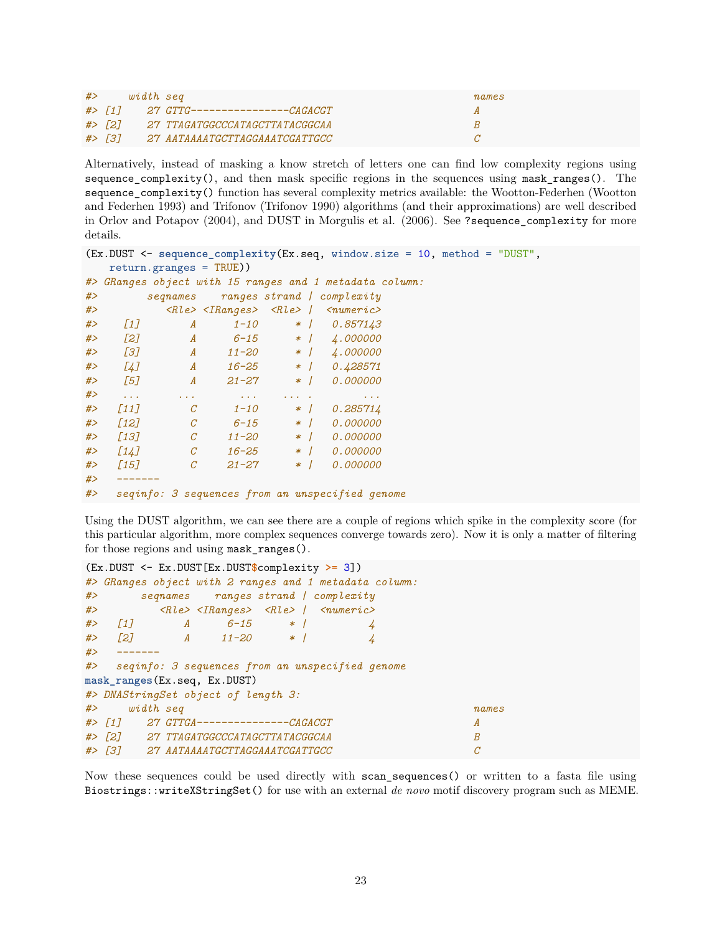| #> | width seq |                                       | names |
|----|-----------|---------------------------------------|-------|
|    |           | #> [1] 27 GTTG---------------CAGACGT  |       |
|    |           | #> [2] 27 TTAGATGGCCCATAGCTTATACGGCAA |       |
|    |           | #> [3] 27 AATAAAATGCTTAGGAAATCGATTGCC |       |

Alternatively, instead of masking a know stretch of letters one can find low complexity regions using sequence\_complexity(), and then mask specific regions in the sequences using mask\_ranges(). The sequence complexity() function has several complexity metrics available: the Wootton-Federhen (Wootton and Federhen 1993) and Trifonov (Trifonov 1990) algorithms (and their approximations) are well described in Orlov and Potapov (2004), and DUST in Morgulis et al. (2006). See ?sequence\_complexity for more details.

```
(Ex.DUST <- sequence_complexity(Ex.seq, window.size = 10, method = "DUST",
  return.granges = TRUE))
#> GRanges object with 15 ranges and 1 metadata column:
#> seqnames ranges strand | complexity
#> <Rle> <IRanges> <Rle> | <numeric>
#> [1] A 1-10 * | 0.857143
#> [2] A 6-15 * | 4.000000
#> [3] A 11-20 * | 4.000000
#> [4] A 16-25 * | 0.428571
#> [5] A 21-27 * | 0.000000
#> ... ... ... ... . ...
#> [11] C 1-10 * | 0.285714
#> [12] C 6-15 * | 0.000000
#> [13] C 11-20 * | 0.000000
#> [14] C 16-25 * | 0.000000
#> [15] C 21-27 * | 0.000000
#> -------
#> seqinfo: 3 sequences from an unspecified genome
```
Using the DUST algorithm, we can see there are a couple of regions which spike in the complexity score (for this particular algorithm, more complex sequences converge towards zero). Now it is only a matter of filtering for those regions and using mask\_ranges().

```
(Ex.DUST <- Ex.DUST[Ex.DUST$complexity >= 3])
#> GRanges object with 2 ranges and 1 metadata column:
#> seqnames ranges strand | complexity
#> <Rle> <IRanges> <Rle> | <numeric>
#> [1] A 6-15 * | 4
#> [2] A 11-20 * | 4
#> -------
#> seqinfo: 3 sequences from an unspecified genome
mask_ranges(Ex.seq, Ex.DUST)
#> DNAStringSet object of length 3:
#> width seq names
#> [1] 27 GTTGA---------------CAGACGT A
#> [2] 27 TTAGATGGCCCATAGCTTATACGGCAA B
#> [3] 27 AATAAAATGCTTAGGAAATCGATTGCC C
```
Now these sequences could be used directly with scan\_sequences() or written to a fasta file using Biostrings::writeXStringSet() for use with an external *de novo* motif discovery program such as MEME.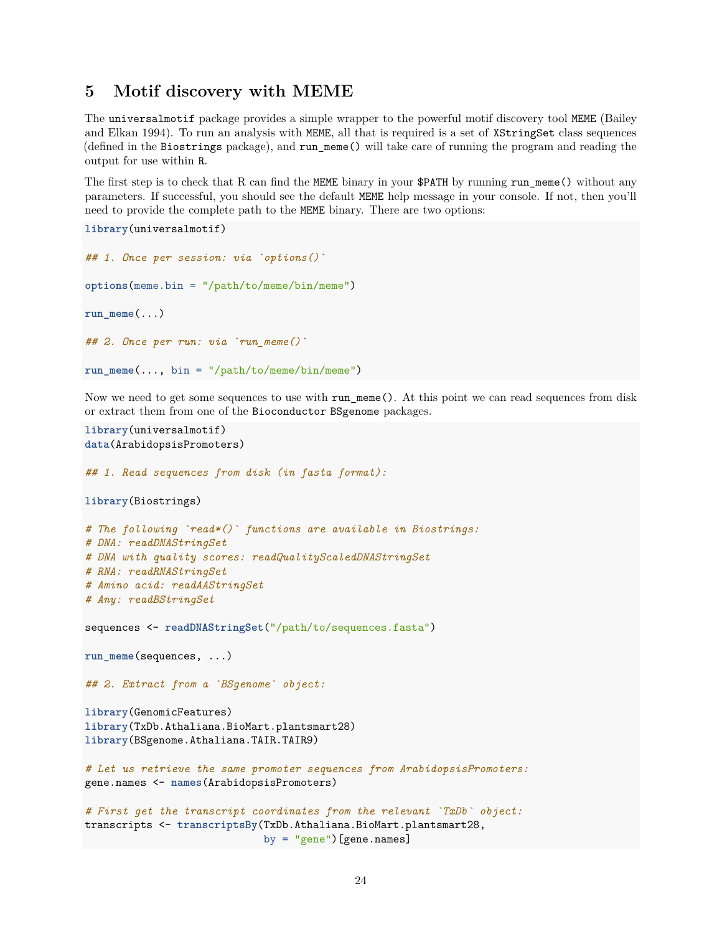### <span id="page-23-0"></span>**5 Motif discovery with MEME**

The universalmotif package provides a simple wrapper to the powerful motif discovery tool MEME (Bailey and Elkan 1994). To run an analysis with MEME, all that is required is a set of XStringSet class sequences (defined in the Biostrings package), and run\_meme() will take care of running the program and reading the output for use within R.

The first step is to check that R can find the MEME binary in your \$PATH by running run\_meme() without any parameters. If successful, you should see the default MEME help message in your console. If not, then you'll need to provide the complete path to the MEME binary. There are two options:

```
library(universalmotif)
## 1. Once per session: via `options()`
options(meme.bin = "/path/to/meme/bin/meme")
run meme(\ldots)## 2. Once per run: via `run_meme()`
run_meme(..., bin = "/path/to/meme/bin/meme")
```
Now we need to get some sequences to use with run meme(). At this point we can read sequences from disk or extract them from one of the Bioconductor BSgenome packages.

```
library(universalmotif)
data(ArabidopsisPromoters)
## 1. Read sequences from disk (in fasta format):
library(Biostrings)
# The following `read*()` functions are available in Biostrings:
# DNA: readDNAStringSet
# DNA with quality scores: readQualityScaledDNAStringSet
# RNA: readRNAStringSet
# Amino acid: readAAStringSet
# Any: readBStringSet
sequences <- readDNAStringSet("/path/to/sequences.fasta")
run_meme(sequences, ...)
## 2. Extract from a `BSgenome` object:
library(GenomicFeatures)
library(TxDb.Athaliana.BioMart.plantsmart28)
library(BSgenome.Athaliana.TAIR.TAIR9)
# Let us retrieve the same promoter sequences from ArabidopsisPromoters:
gene.names <- names(ArabidopsisPromoters)
# First get the transcript coordinates from the relevant `TxDb` object:
transcripts <- transcriptsBy(TxDb.Athaliana.BioMart.plantsmart28,
                             by = "gene")[gene.names]
```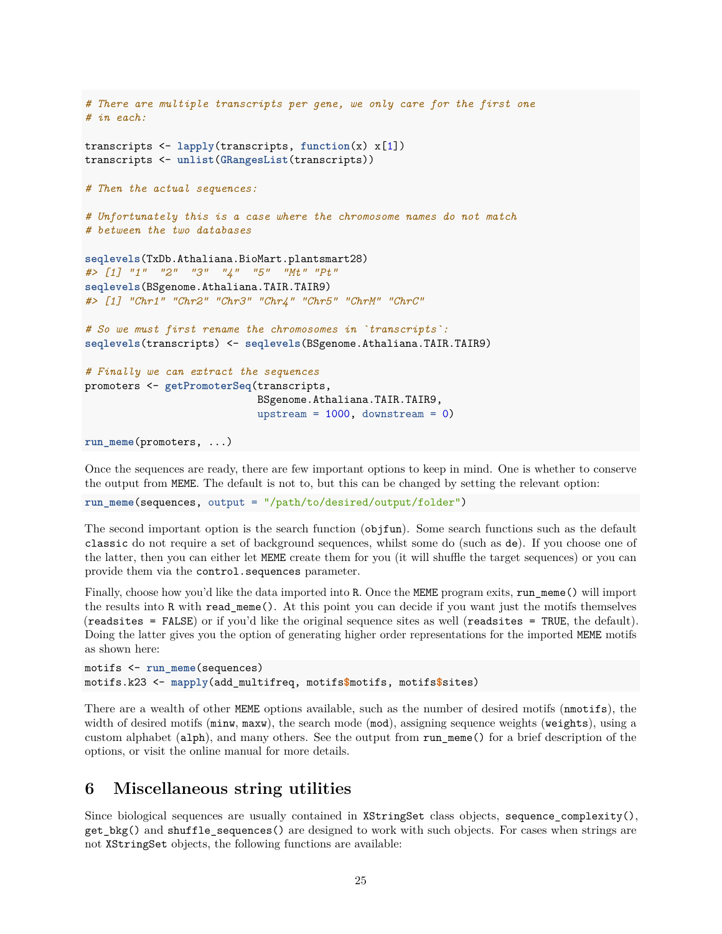```
# There are multiple transcripts per gene, we only care for the first one
# in each:
transcripts <- lapply(transcripts, function(x) x[1])
transcripts <- unlist(GRangesList(transcripts))
# Then the actual sequences:
# Unfortunately this is a case where the chromosome names do not match
# between the two databases
seqlevels(TxDb.Athaliana.BioMart.plantsmart28)
#> [1] "1" "2" "3" "4" "5" "Mt" "Pt"
seqlevels(BSgenome.Athaliana.TAIR.TAIR9)
#> [1] "Chr1" "Chr2" "Chr3" "Chr4" "Chr5" "ChrM" "ChrC"
# So we must first rename the chromosomes in `transcripts`:
seqlevels(transcripts) <- seqlevels(BSgenome.Athaliana.TAIR.TAIR9)
# Finally we can extract the sequences
promoters <- getPromoterSeq(transcripts,
                            BSgenome.Athaliana.TAIR.TAIR9,
                            upstream = 1000, downstream = 0)
run_meme(promoters, ...)
```
Once the sequences are ready, there are few important options to keep in mind. One is whether to conserve the output from MEME. The default is not to, but this can be changed by setting the relevant option:

**run\_meme**(sequences, output = "/path/to/desired/output/folder")

The second important option is the search function (objfun). Some search functions such as the default classic do not require a set of background sequences, whilst some do (such as de). If you choose one of the latter, then you can either let MEME create them for you (it will shuffle the target sequences) or you can provide them via the control.sequences parameter.

Finally, choose how you'd like the data imported into R. Once the MEME program exits, run\_meme() will import the results into R with read\_meme(). At this point you can decide if you want just the motifs themselves (readsites = FALSE) or if you'd like the original sequence sites as well (readsites = TRUE, the default). Doing the latter gives you the option of generating higher order representations for the imported MEME motifs as shown here:

```
motifs <- run_meme(sequences)
motifs.k23 <- mapply(add_multifreq, motifs$motifs, motifs$sites)
```
There are a wealth of other MEME options available, such as the number of desired motifs (nmotifs), the width of desired motifs ( $min$ ,  $max$ ), the search mode ( $mod$ ), assigning sequence weights ( $weight$ s), using a custom alphabet (alph), and many others. See the output from run\_meme() for a brief description of the options, or visit the [online manual](http://meme-suite.org/doc/meme.html) for more details.

### <span id="page-24-0"></span>**6 Miscellaneous string utilities**

Since biological sequences are usually contained in XStringSet class objects, sequence\_complexity(), get\_bkg() and shuffle\_sequences() are designed to work with such objects. For cases when strings are not XStringSet objects, the following functions are available: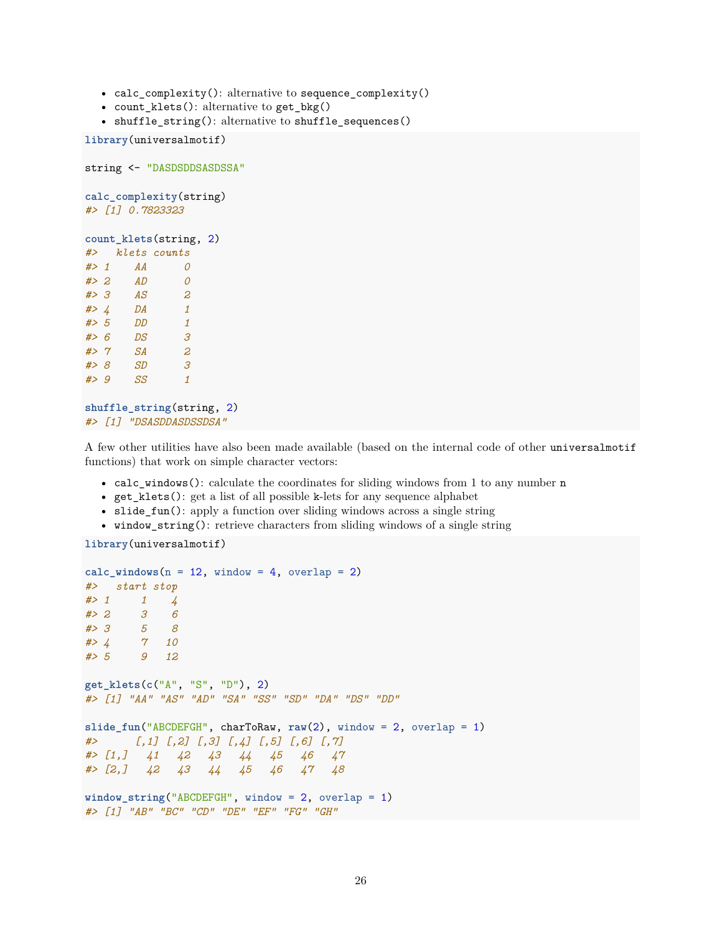- calc complexity(): alternative to sequence complexity()
- count\_klets(): alternative to get\_bkg()
- shuffle\_string(): alternative to shuffle\_sequences()

```
library(universalmotif)
```

```
string <- "DASDSDDSASDSSA"
calc_complexity(string)
#> [1] 0.7823323
count_klets(string, 2)
#> klets counts
#> 1 AA 0
#> 2 AD 0
#> 3 AS 2
#> 4 DA 1
#> 5 DD 1
#> 6 DS 3
#> 7 SA 2
#> 8 SD 3
#> 9 SS 1
shuffle_string(string, 2)
#> [1] "DSASDDASDSSDSA"
```
A few other utilities have also been made available (based on the internal code of other universalmotif functions) that work on simple character vectors:

- calc\_windows(): calculate the coordinates for sliding windows from 1 to any number n
- get\_klets(): get a list of all possible k-lets for any sequence alphabet
- slide\_fun(): apply a function over sliding windows across a single string
- window\_string(): retrieve characters from sliding windows of a single string

```
library(universalmotif)
```

```
calc windows (n = 12, window = 4, overlap = 2)
#> start stop
#> 1 1 4
#> 2 3 6
#> 3 5 8
#> 4 7 10
#> 5 9 12
get_klets(c("A", "S", "D"), 2)
#> [1] "AA" "AS" "AD" "SA" "SS" "SD" "DA" "DS" "DD"
slide_fun("ABCDEFGH", charToRaw, raw(2), window = 2, overlap = 1)
#> [,1] [,2] [,3] [,4] [,5] [,6] [,7]
#> [1,] 41 42 43 44 45 46 47
#> [2,] 42 43 44 45 46 47 48
window_string("ABCDEFGH", window = 2, overlap = 1)
#> [1] "AB" "BC" "CD" "DE" "EF" "FG" "GH"
```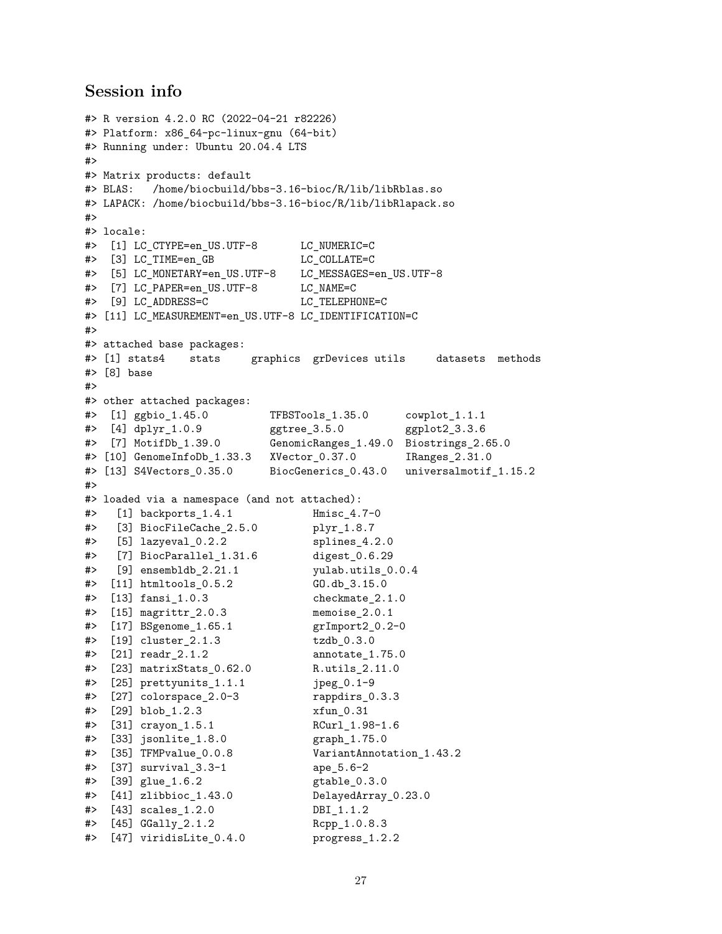### <span id="page-26-0"></span>**Session info**

```
#> R version 4.2.0 RC (2022-04-21 r82226)
#> Platform: x86_64-pc-linux-gnu (64-bit)
#> Running under: Ubuntu 20.04.4 LTS
#>
#> Matrix products: default
#> BLAS: /home/biocbuild/bbs-3.16-bioc/R/lib/libRblas.so
#> LAPACK: /home/biocbuild/bbs-3.16-bioc/R/lib/libRlapack.so
#>
#> locale:
#> [1] LC CTYPE=en US.UTF-8 LC NUMERIC=C
#> [3] LC_TIME=en_GB LC_COLLATE=C
#> [5] LC_MONETARY=en_US.UTF-8 LC_MESSAGES=en_US.UTF-8
#> [7] LC_PAPER=en_US.UTF-8 LC_NAME=C
#> [9] LC ADDRESS=C LC TELEPHONE=C
#> [11] LC_MEASUREMENT=en_US.UTF-8 LC_IDENTIFICATION=C
#>
#> attached base packages:
#> [1] stats4 stats graphics grDevices utils datasets methods
#> [8] base
#>
#> other attached packages:
#> [1] ggbio_1.45.0 TFBSTools_1.35.0 cowplot_1.1.1
#> [4] dplyr_1.0.9 ggtree_3.5.0 ggplot2_3.3.6
#> [7] MotifDb_1.39.0 GenomicRanges_1.49.0 Biostrings_2.65.0
#> [10] GenomeInfoDb_1.33.3 XVector_0.37.0 IRanges_2.31.0
#> [13] S4Vectors_0.35.0 BiocGenerics_0.43.0 universalmotif_1.15.2
#>
#> loaded via a namespace (and not attached):
#> [1] backports_1.4.1 Hmisc_4.7-0
#> [3] BiocFileCache_2.5.0 plyr_1.8.7
#> [5] lazyeval_0.2.2 splines_4.2.0
#> [7] BiocParallel_1.31.6 digest_0.6.29
#> [9] ensembldb_2.21.1 yulab.utils_0.0.4
#> [11] htmltools_0.5.2 GO.db_3.15.0
#> [13] fansi_1.0.3 checkmate_2.1.0
#> [15] magrittr_2.0.3 memoise_2.0.1
#> [17] BSgenome_1.65.1 grImport2_0.2-0
#> [19] cluster_2.1.3 tzdb_0.3.0
#> [21] readr_2.1.2 annotate_1.75.0
#> [23] matrixStats_0.62.0 R.utils_2.11.0
#> [25] prettyunits_1.1.1 jpeg_0.1-9
#> [27] colorspace_2.0-3 rappdirs_0.3.3
#> [29] blob_1.2.3 xfun_0.31
#> [31] crayon_1.5.1 RCurl_1.98-1.6
#> [33] jsonlite_1.8.0 graph_1.75.0
#> [35] TFMPvalue_0.0.8 VariantAnnotation_1.43.2
#> [37] survival_3.3-1 ape_5.6-2
#> [39] glue_1.6.2 gtable_0.3.0
#> [41] zlibbioc_1.43.0 DelayedArray_0.23.0
#> [43] scales_1.2.0 DBI_1.1.2
#> [45] GGally_2.1.2 Rcpp_1.0.8.3
#> [47] viridisLite_0.4.0 progress_1.2.2
```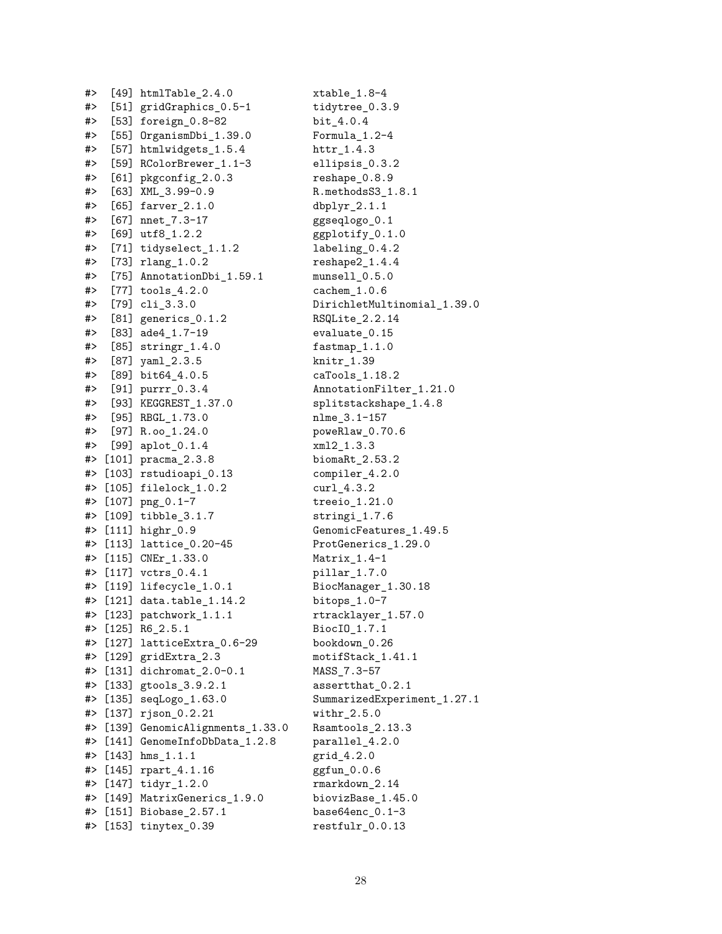| #> | [49]    | htmlTable_2.4.0                 | xtable_1.8-4            |
|----|---------|---------------------------------|-------------------------|
| #> |         | [51] gridGraphics_0.5-1         | tidytree_0.3.9          |
| #> |         | [53] foreign_0.8-82             | bit_4.0.4               |
| #> |         | [55] OrganismDbi_1.39.0         | Formula_1.2-4           |
| #> |         | [57] htmlwidgets_1.5.4          |                         |
| #> |         | [59] RColorBrewer_1.1-3         | ellipsis_0.3.2          |
| #> |         | [61] pkgconfig_2.0.3            | reshape_0.8.9           |
| #> |         | $[63]$ XML_3.99-0.9             | R.methodsS3_1.8         |
| #> |         | $[65]$ farver_2.1.0             | $dbplyr_2.1.1$          |
| #> |         | $[67]$ nnet_7.3-17              | ggseqlogo_0.1           |
| #> |         | $[69]$ utf8_1.2.2               | ggplotify_0.1.0         |
| #> |         | [71] tidyselect_1.1.2           | labeling_0.4.2          |
| #> |         | $[73]$ $rlang_1.0.2$            | $reshape2_1.4.4$        |
| #> |         | [75] AnnotationDbi_1.59.1       | $munsell_0.5.0$         |
| #> |         | $[77]$ tools_4.2.0              | $cachem_1.0.6$          |
| #> |         | $[79]$ $cli_3.3.0$              | DirichletMultin         |
| #> |         | $[81]$ generics $0.1.2$         | RSQLite_2.2.14          |
| #> |         | $[83]$ ade $4_1.7-19$           | evaluate_0.15           |
| #> |         | [85] $stringr_1.4.0$            | $fastmap_1.1.0$         |
| #> |         | $[87]$ yam $1_2.3.5$            | $knitr_1.39$            |
| #> |         | $[89]$ bit64_4.0.5              | $caTools_1.18.2$        |
| #> |         | [91] purrr_0.3.4                | AnnotationFilte:        |
| #> |         | [93] KEGGREST_1.37.0            | splitstackshape         |
| #> |         | [95] RBGL_1.73.0                | nlme_3.1-157            |
| #> |         | $[97] R.oo_1.24.0$              | poweRlaw_0.70.6         |
| #> |         | $[99]$ aplot_0.1.4              | xm12_1.3.3              |
| #> |         | $[101]$ pracma <sub>2.3.8</sub> | biomaRt_2.53.2          |
| #> |         | [103] rstudioapi_0.13           | compiler_4.2.0          |
| #> |         | $[105]$ filelock_ $1.0.2$       | $curl_4.3.2$            |
| #> |         | $[107]$ png $_0.1-7$            | $treeio_1.21.0$         |
| #> |         | $[109]$ tibble_3.1.7            | $stringi_1.7.6$         |
| #> |         | $[111]$ highr $_0.9$            | GenomicFeatures         |
| #> |         | [113] lattice_0.20-45           | ProtGenerics_1.         |
| #> |         | $[115]$ CNEr_1.33.0             | $Matrix_1.4-1$          |
| #> |         | $[117]$ vctrs $[0.4.1]$         | pillar_1.7.0            |
| #> |         | $[119]$ lifecycle_1.0.1         | BiocManager_1.3         |
| #> |         | [121] data.table_1.14.2         | bitops_1.0-7            |
| #> |         | [123] $patchwork_1.1.1$         | rtracklayer_1.5         |
| #> | $[125]$ | $R6_2.5.1$                      | BiocIO_1.7.1            |
| #> | $[127]$ | latticeExtra_0.6-29             | bookdown_0.26           |
| #> | [129]   | gridExtra_2.3                   | motifStack_1.41         |
| #> | [131]   | dichromat_2.0-0.1               | MASS_7.3-57             |
| #> | [133]   | gtools_3.9.2.1                  | assertthat_0.2.         |
| #> | $[135]$ | seqLogo_1.63.0                  | SummarizedExper         |
| #> | [137]   | $rjson_0.2.21$                  | $\texttt{withr\_2.5.0}$ |
| #> | [139]   | GenomicAlignments_1.33.0        | Rsamtools_2.13.         |
| #> | $[141]$ | GenomeInfoDbData_1.2.8          | parallel_4.2.0          |
| #> | $[143]$ | $hms_1.1.1$                     | grid_4.2.0              |
| #> | [145]   | rpart_4.1.16                    | ggfun_0.0.6             |
| #> | $[147]$ | $\texttt{tidyr}\_1.2.0$         | rmarkdown_2.14          |
| #> | [149]   | MatrixGenerics_1.9.0            | biovizBase_1.45         |
| #> | $[151]$ | Biobase_2.57.1                  | $base64enc_0.1-3$       |
| #> | [153]   | tinytex_0.39                    | restfulr_0.0.13         |
|    |         |                                 |                         |

 $xtable$  1.8-4 tidytree\_0.3.9 bit\_4.0.4  $Formula_1.2-4$ httr\_1.4.3 ellipsis\_0.3.2  $reshape 0.8.9$  $R.$ methodsS3\_1.8.1  $dbplyr_2.1.1$ ggseqlogo\_0.1  $ggplotify_0.1.0$  $labeling_0.4.2$  $reshape2_1.4.4$  $munsell_0.5.0$  $cachem_1.0.6$ DirichletMultinomial\_1.39.0 RSQLite\_2.2.14 evaluate 0.15  $fastmap_1.1.0$ knitr\_1.39  $caTools_1.18.2$ AnnotationFilter\_1.21.0 splitstackshape\_1.4.8 nlme\_3.1-157 poweRlaw\_0.70.6  $xml2_1.3.3$ biomaRt\_2.53.2 compiler\_4.2.0  $curl_4.3.2$  $treeio_1.21.0$  $stringi_1.7.6$ GenomicFeatures\_1.49.5 ProtGenerics\_1.29.0  $Matrix_1.4-1$ pillar 1.7.0 BiocManager\_1.30.18 bitops\_1.0-7 rtracklayer\_1.57.0 BiocIO\_1.7.1 bookdown\_0.26  $motifStack_1.41.1$ MASS\_7.3-57 assertthat\_0.2.1 SummarizedExperiment\_1.27.1  $withr_2.5.0$  $Rsamtools_2.13.3$ parallel\_4.2.0 grid<sub>-4.2.0</sub> ggfun\_0.0.6 rmarkdown\_2.14 biovizBase\_1.45.0 base64enc\_0.1-3